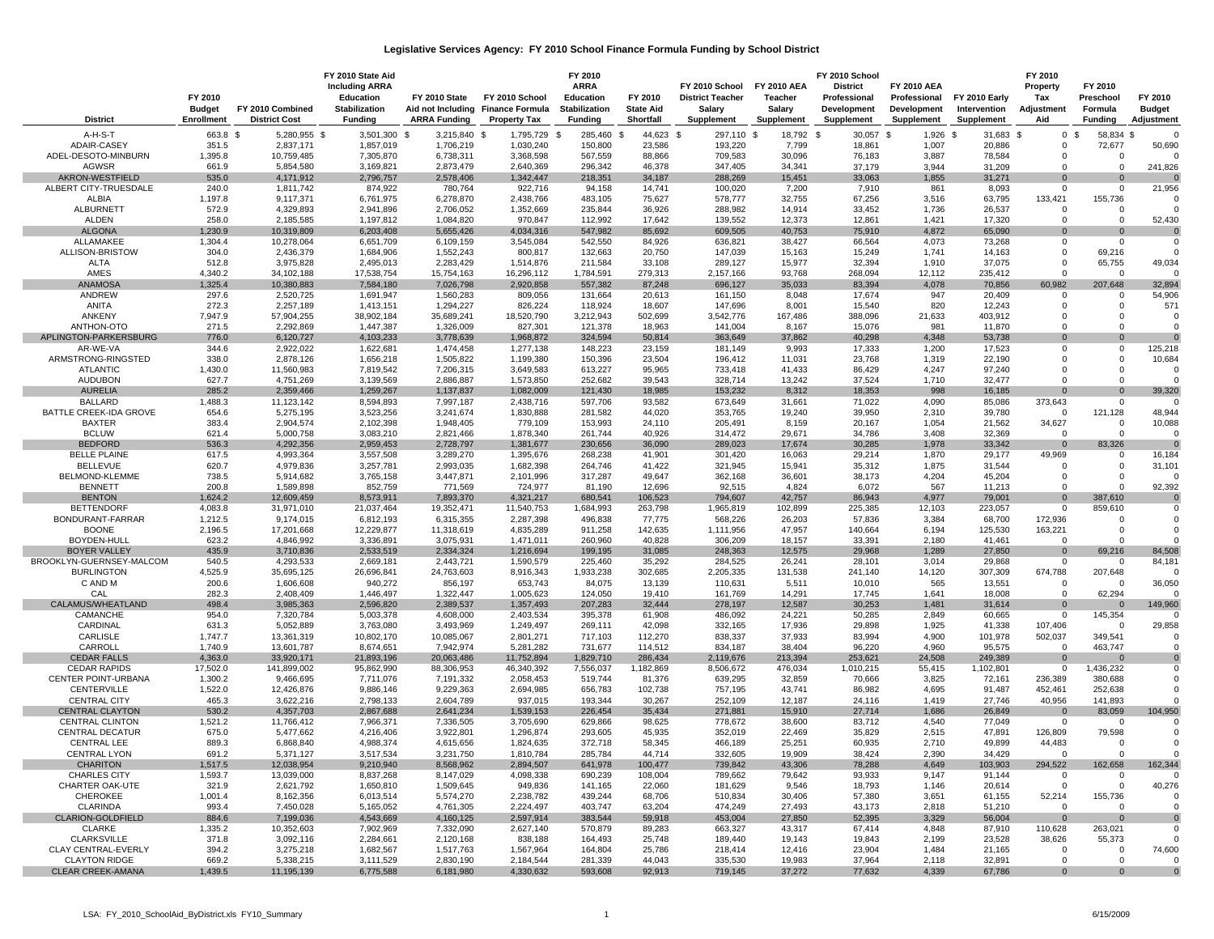## **Legislative Services Agency: FY 2010 School Finance Formula Funding by School District**

|                                               | FY 2010<br><b>Budget</b> | FY 2010 Combined         | FY 2010 State Aid<br><b>Including ARRA</b><br>Education<br><b>Stabilization</b> | FY 2010 State           | FY 2010 School<br>Aid not Including Finance Formula | FY 2010<br><b>ARRA</b><br>Education<br><b>Stabilization</b> | FY 2010<br><b>State Aid</b> | FY 2010 School<br><b>District Teacher</b><br>Salary | <b>FY 2010 AEA</b><br>Teacher<br>Salary | FY 2010 School<br><b>District</b><br>Professional<br>Development | <b>FY 2010 AEA</b><br>Professional<br>Development | FY 2010 Early<br>Intervention | FY 2010<br>Property<br>Tax<br>Adjustment | FY 2010<br>Preschool<br>Formula | FY 2010<br><b>Budget</b> |
|-----------------------------------------------|--------------------------|--------------------------|---------------------------------------------------------------------------------|-------------------------|-----------------------------------------------------|-------------------------------------------------------------|-----------------------------|-----------------------------------------------------|-----------------------------------------|------------------------------------------------------------------|---------------------------------------------------|-------------------------------|------------------------------------------|---------------------------------|--------------------------|
| <b>District</b>                               | <b>Enrollment</b>        | <b>District Cost</b>     | <b>Funding</b>                                                                  | <b>ARRA Funding</b>     | <b>Property Tax</b>                                 | <b>Funding</b>                                              | Shortfall                   | Supplement                                          | Supplement                              | <b>Supplement</b>                                                | Supplement                                        | Supplement                    | Aid                                      | <b>Funding</b>                  | Adjustment               |
| A-H-S-T                                       | 663.8 \$                 | 5,280,955 \$             | 3,501,300 \$                                                                    | 3,215,840 \$            | 1,795,729 \$                                        | 285,460 \$                                                  | 44,623 \$                   | 297,110 \$                                          | 18,792 \$                               | 30,057 \$                                                        | 1,926 \$                                          | 31,683 \$                     |                                          | 0 <sup>5</sup><br>58,834 \$     | $\Omega$                 |
| ADAIR-CASEY                                   | 351.5                    | 2,837,171                | 1,857,019                                                                       | 1,706,219               | 1,030,240                                           | 150,800                                                     | 23,586                      | 193,220                                             | 7,799                                   | 18,861                                                           | 1,007                                             | 20,886                        | $\Omega$                                 | 72,677                          | 50,690                   |
| ADEL-DESOTO-MINBURN                           | 1,395.8                  | 10,759,485               | 7,305,870                                                                       | 6,738,311               | 3,368,598                                           | 567,559                                                     | 88,866                      | 709,583                                             | 30,096                                  | 76,183                                                           | 3,887                                             | 78,584                        | 0                                        | 0                               | $\Omega$                 |
| <b>AGWSR</b>                                  | 661.9                    | 5,854,580                | 3,169,821                                                                       | 2,873,479               | 2,640,369                                           | 296,342                                                     | 46,378                      | 347,405                                             | 34,341                                  | 37,179                                                           | 3,944                                             | 31,209                        | $\Omega$                                 | $\Omega$                        | 241,826                  |
| AKRON-WESTFIELD<br>ALBERT CITY-TRUESDALE      | 535.0<br>240.0           | 4,171,912<br>1,811,742   | 2,796,757<br>874,922                                                            | 2,578,406<br>780,764    | 1,342,447<br>922,716                                | 218,351<br>94,158                                           | 34,187<br>14,741            | 288,269<br>100,020                                  | 15,451<br>7,200                         | 33,063<br>7,910                                                  | 1,855<br>861                                      | 31,271<br>8,093               | $\Omega$<br>$\mathbf{0}$                 | 0<br>0                          | $\Omega$<br>21,956       |
| <b>ALBIA</b>                                  | 1,197.8                  | 9,117,371                | 6,761,975                                                                       | 6,278,870               | 2,438,766                                           | 483,105                                                     | 75,627                      | 578,777                                             | 32,755                                  | 67,256                                                           | 3,516                                             | 63,795                        | 133,421                                  | 155,736                         |                          |
| <b>ALBURNETT</b>                              | 572.9                    | 4,329,893                | 2,941,896                                                                       | 2,706,052               | 1,352,669                                           | 235,844                                                     | 36,926                      | 288,982                                             | 14,914                                  | 33,452                                                           | 1,736                                             | 26,537                        | $\mathbf 0$                              | $\Omega$                        |                          |
| <b>ALDEN</b>                                  | 258.0                    | 2,185,585                | 1,197,812                                                                       | 1,084,820               | 970,847                                             | 112,992                                                     | 17,642                      | 139,552                                             | 12,373                                  | 12,861                                                           | 1,421                                             | 17,320                        | $\Omega$                                 | $\Omega$                        | 52,430                   |
| <b>ALGONA</b>                                 | 1,230.9                  | 10,319,809               | 6,203,408                                                                       | 5,655,426               | 4,034,316                                           | 547,982                                                     | 85,692                      | 609,505                                             | 40,753                                  | 75,910                                                           | 4,872                                             | 65,090                        | $\Omega$                                 | $\Omega$                        | $\Omega$                 |
| ALLAMAKEE<br>ALLISON-BRISTOW                  | 1,304.4<br>304.0         | 10,278,064<br>2,436,379  | 6,651,709<br>1,684,906                                                          | 6,109,159<br>1,552,243  | 3,545,084<br>800,817                                | 542,550<br>132,663                                          | 84,926<br>20,750            | 636,821<br>147,039                                  | 38,427<br>15,163                        | 66,564<br>15,249                                                 | 4,073<br>1,741                                    | 73,268<br>14,163              | $\Omega$<br>$\Omega$                     | $\Omega$<br>69,216              | $\Omega$                 |
| <b>ALTA</b>                                   | 512.8                    | 3,975,828                | 2,495,013                                                                       | 2,283,429               | 1,514,876                                           | 211,584                                                     | 33,108                      | 289,127                                             | 15,977                                  | 32,394                                                           | 1,910                                             | 37,075                        | $\Omega$                                 | 65,755                          | 49,034                   |
| AMES                                          | 4,340.2                  | 34,102,188               | 17,538,754                                                                      | 15,754,163              | 16,296,112                                          | 1,784,591                                                   | 279,313                     | 2,157,166                                           | 93,768                                  | 268,094                                                          | 12,112                                            | 235,412                       | $\Omega$                                 | $\Omega$                        | $\Omega$                 |
| <b>ANAMOSA</b>                                | 1,325.4                  | 10,380,883               | 7,584,180                                                                       | 7,026,798               | 2,920,858                                           | 557,382                                                     | 87,248                      | 696,127                                             | 35,033                                  | 83,394                                                           | 4,078                                             | 70,856                        | 60,982                                   | 207,648                         | 32,894                   |
| ANDREW                                        | 297.6                    | 2,520,725                | 1,691,947                                                                       | 1,560,283               | 809,056                                             | 131,664                                                     | 20,613                      | 161,150                                             | 8,048                                   | 17,674                                                           | 947                                               | 20,409                        | $\mathbf 0$                              | 0                               | 54,906                   |
| ANITA<br>ANKENY                               | 272.3<br>7,947.9         | 2,257,189<br>57,904,255  | 1,413,151<br>38,902,184                                                         | 1,294,227<br>35,689,241 | 826,224<br>18,520,790                               | 118,924<br>3,212,943                                        | 18,607<br>502,699           | 147,696<br>3,542,776                                | 8,001<br>167,486                        | 15,540<br>388,096                                                | 820<br>21,633                                     | 12,243<br>403,912             | $\Omega$<br>$\Omega$                     | $\mathbf 0$<br>0                | 571                      |
| ANTHON-OTO                                    | 271.5                    | 2,292,869                | 1,447,387                                                                       | 1,326,009               | 827,301                                             | 121,378                                                     | 18,963                      | 141,004                                             | 8,167                                   | 15,076                                                           | 981                                               | 11,870                        | $\Omega$                                 | $\Omega$                        | $\Omega$                 |
| APLINGTON-PARKERSBURG                         | 776.0                    | 6,120,727                | 4,103,233                                                                       | 3,778,639               | 1,968,872                                           | 324,594                                                     | 50,814                      | 363,649                                             | 37,862                                  | 40,298                                                           | 4,348                                             | 53,738                        | $\Omega$                                 | $\mathbf{0}$                    | $\Omega$                 |
| AR-WE-VA                                      | 344.6                    | 2,922,022                | 1,622,681                                                                       | 1,474,458               | 1,277,138                                           | 148,223                                                     | 23,159                      | 181,149                                             | 9,993                                   | 17,333                                                           | 1,200                                             | 17,523                        | $\Omega$                                 | $\Omega$                        | 125,218                  |
| ARMSTRONG-RINGSTED                            | 338.0                    | 2,878,126                | 1,656,218                                                                       | 1,505,822               | 1,199,380                                           | 150,396                                                     | 23,504                      | 196,412                                             | 11,031                                  | 23,768                                                           | 1,319                                             | 22,190                        | $\Omega$                                 | $\Omega$                        | 10,684                   |
| <b>ATLANTIC</b><br><b>AUDUBON</b>             | 1,430.0<br>627.7         | 11,560,983<br>4,751,269  | 7,819,542                                                                       | 7,206,315<br>2,886,887  | 3,649,583<br>1,573,850                              | 613,227<br>252,682                                          | 95,965<br>39,543            | 733,418<br>328,714                                  | 41,433<br>13,242                        | 86,429<br>37,524                                                 | 4,247<br>1,710                                    | 97,240<br>32.477              | $\Omega$<br>$\Omega$                     | $\Omega$<br>$\Omega$            | C                        |
| <b>AURELIA</b>                                | 285.2                    | 2,359,466                | 3,139,569<br>1,259,267                                                          | 1,137,837               | 1,082,009                                           | 121,430                                                     | 18,985                      | 153,232                                             | 8,312                                   | 18,353                                                           | 998                                               | 16,185                        |                                          |                                 | 39,320                   |
| <b>BALLARD</b>                                | 1,488.3                  | 11,123,142               | 8,594,893                                                                       | 7,997,187               | 2,438,716                                           | 597,706                                                     | 93,582                      | 673,649                                             | 31,661                                  | 71,022                                                           | 4,090                                             | 85,086                        | 373,643                                  | $\Omega$                        | $\Omega$                 |
| BATTLE CREEK-IDA GROVE                        | 654.6                    | 5,275,195                | 3,523,256                                                                       | 3,241,674               | 1,830,888                                           | 281,582                                                     | 44,020                      | 353,765                                             | 19,240                                  | 39,950                                                           | 2,310                                             | 39,780                        | $\Omega$                                 | 121,128                         | 48,944                   |
| <b>BAXTER</b>                                 | 383.4                    | 2,904,574                | 2,102,398                                                                       | 1,948,405               | 779,109                                             | 153,993                                                     | 24,110                      | 205,491                                             | 8,159                                   | 20,167                                                           | 1,054                                             | 21,562                        | 34,627                                   | 0                               | 10,088                   |
| <b>BCLUW</b>                                  | 621.4                    | 5,000,758                | 3,083,210                                                                       | 2,821,466               | 1,878,340                                           | 261,744                                                     | 40,926                      | 314,472                                             | 29,671                                  | 34,786                                                           | 3,408                                             | 32,369                        | $\Omega$                                 | $\Omega$                        | $\Omega$                 |
| <b>BEDFORD</b><br><b>BELLE PLAINE</b>         | 536.3<br>617.5           | 4,292,356<br>4,993,364   | 2,959,453<br>3,557,508                                                          | 2,728,797<br>3,289,270  | 1,381,677<br>1,395,676                              | 230,656<br>268,238                                          | 36,090<br>41,901            | 289,023<br>301,420                                  | 17,674<br>16,063                        | 30,285<br>29,214                                                 | 1,978<br>1,870                                    | 33,342<br>29,177              | $\mathbf{0}$<br>49,969                   | 83,326<br>0                     | $\mathbf 0$<br>16,184    |
| <b>BELLEVUE</b>                               | 620.7                    | 4,979,836                | 3,257,781                                                                       | 2,993,035               | 1,682,398                                           | 264,746                                                     | 41,422                      | 321,945                                             | 15,941                                  | 35,312                                                           | 1,875                                             | 31,544                        | $\Omega$                                 | $\Omega$                        | 31,101                   |
| BELMOND-KLEMME                                | 738.5                    | 5,914,682                | 3,765,158                                                                       | 3,447,871               | 2,101,996                                           | 317,287                                                     | 49,647                      | 362,168                                             | 36,601                                  | 38,173                                                           | 4,204                                             | 45,204                        | $\Omega$                                 | $\Omega$                        | C                        |
| <b>BENNETT</b>                                | 200.8                    | 1,589,898                | 852,759                                                                         | 771,569                 | 724,977                                             | 81,190                                                      | 12,696                      | 92,515                                              | 4,824                                   | 6,072                                                            | 567                                               | 11,213                        | $\mathbf{0}$                             | $\Omega$                        | 92,392                   |
| <b>BENTON</b>                                 | 1,624.2                  | 12,609,459               | 8,573,911                                                                       | 7,893,370               | 4,321,217                                           | 680,541                                                     | 106,523                     | 794,607                                             | 42,757                                  | 86,943                                                           | 4,977                                             | 79,001                        | $\Omega$                                 | 387,610                         | $\mathbf{0}$             |
| <b>BETTENDORF</b><br>BONDURANT-FARRAR         | 4,083.8<br>1,212.5       | 31,971,010<br>9,174,015  | 21,037,464<br>6,812,193                                                         | 19,352,471<br>6,315,355 | 11,540,753<br>2,287,398                             | 1,684,993<br>496,838                                        | 263,798<br>77,775           | 1,965,819<br>568,226                                | 102,899<br>26,203                       | 225,385<br>57,836                                                | 12,103<br>3,384                                   | 223,057<br>68,700             | $\mathbf 0$<br>172,936                   | 859,610<br>0                    | $\Omega$<br>$\Omega$     |
| <b>BOONE</b>                                  | 2,196.5                  | 17,201,668               | 12,229,877                                                                      | 11,318,619              | 4,835,289                                           | 911,258                                                     | 142,635                     | 1,111,956                                           | 47,957                                  | 140,664                                                          | 6,194                                             | 125,530                       | 163,221                                  | $\Omega$                        | $\Omega$                 |
| BOYDEN-HULL                                   | 623.2                    | 4,846,992                | 3,336,891                                                                       | 3,075,931               | 1,471,011                                           | 260,960                                                     | 40,828                      | 306,209                                             | 18,157                                  | 33,391                                                           | 2,180                                             | 41,461                        | $\Omega$                                 | $\Omega$                        | $\Omega$                 |
| <b>BOYER VALLEY</b>                           | 435.9                    | 3,710,836                | 2,533,519                                                                       | 2,334,324               | 1,216,694                                           | 199,195                                                     | 31,085                      | 248,363                                             | 12,575                                  | 29,968                                                           | 1,289                                             | 27,850                        | $\mathbf{0}$                             | 69,216                          | 84,508                   |
| BROOKLYN-GUERNSEY-MALCOM                      | 540.5                    | 4,293,533                | 2,669,181                                                                       | 2,443,721               | 1,590,579                                           | 225,460                                                     | 35,292                      | 284,525                                             | 26,241                                  | 28,101                                                           | 3,014                                             | 29,868                        | 0                                        | 0                               | 84,181                   |
| <b>BURLINGTON</b><br>C AND M                  | 4,525.9<br>200.6         | 35,695,125<br>1,606,608  | 26,696,841<br>940,272                                                           | 24,763,603<br>856,197   | 8,916,343<br>653,743                                | 1,933,238<br>84,075                                         | 302,685<br>13,139           | 2,205,335<br>110,631                                | 131,538<br>5,511                        | 241,140<br>10,010                                                | 14,120<br>565                                     | 307,309<br>13,551             | 674,788<br>$\mathbf 0$                   | 207,648<br>$\Omega$             | 36,050                   |
| CAL                                           | 282.3                    | 2,408,409                | 1,446,497                                                                       | 1,322,447               | 1,005,623                                           | 124,050                                                     | 19,410                      | 161,769                                             | 14,291                                  | 17,745                                                           | 1,641                                             | 18,008                        | $\Omega$                                 | 62,294                          | $\Omega$                 |
| CALAMUS/WHEATLAND                             | 498.4                    | 3,985,363                | 2,596,820                                                                       | 2,389,537               | 1,357,493                                           | 207,283                                                     | 32,444                      | 278,197                                             | 12,587                                  | 30,253                                                           | 1,481                                             | 31,614                        | $\mathbf{0}$                             | 0                               | 149,960                  |
| CAMANCHE                                      | 954.0                    | 7,320,784                | 5,003,378                                                                       | 4,608,000               | 2,403,534                                           | 395,378                                                     | 61,908                      | 486,092                                             | 24,221                                  | 50,285                                                           | 2,849                                             | 60,665                        | $\mathbf 0$                              | 145,354                         | $\Omega$                 |
| CARDINAL                                      | 631.3                    | 5,052,889                | 3,763,080                                                                       | 3,493,969               | 1,249,497                                           | 269,111                                                     | 42,098                      | 332,165                                             | 17,936                                  | 29,898                                                           | 1,925                                             | 41,338                        | 107,406                                  | $\Omega$                        | 29,858                   |
| CARLISLE<br>CARROLL                           | 1,747.7<br>1,740.9       | 13,361,319<br>13,601,787 | 10,802,170<br>8,674,651                                                         | 10,085,067<br>7,942,974 | 2,801,271<br>5,281,282                              | 717,103<br>731,677                                          | 112,270<br>114,512          | 838,337<br>834,187                                  | 37,933<br>38,404                        | 83,994<br>96,220                                                 | 4,900<br>4,960                                    | 101,978<br>95,575             | 502,037<br>$\mathbf{0}$                  | 349,541<br>463,747              | $\Omega$<br>$\mathbf 0$  |
| <b>CEDAR FALLS</b>                            | 4,363.0                  | 33,920,171               | 21,893,196                                                                      | 20,063,486              | 11,752,894                                          | 1,829,710                                                   | 286,434                     | 2,119,676                                           | 213,394                                 | 253,621                                                          | 24,508                                            | 249,389                       | $\mathbf{0}$                             |                                 | $\mathbf 0$              |
| <b>CEDAR RAPIDS</b>                           | 17,502.0                 | 141,899,002              | 95,862,990                                                                      | 88,306,953              | 46,340,392                                          | 7,556,037                                                   | 1,182,869                   | 8,506,672                                           | 476,034                                 | 1,010,215                                                        | 55,415                                            | 1,102,801                     | $\mathbf 0$                              | 1,436,232                       | $\mathbf 0$              |
| CENTER POINT-URBANA                           | 1,300.2                  | 9,466,695                | 7,711,076                                                                       | 7,191,332               | 2,058,453                                           | 519,744                                                     | 81,376                      | 639,295                                             | 32,859                                  | 70,666                                                           | 3,825                                             | 72,161                        | 236,389                                  | 380,688                         | $\Omega$                 |
| CENTERVILLE                                   | 1,522.0                  | 12,426,876               | 9,886,146                                                                       | 9,229,363               | 2,694,985                                           | 656,783                                                     | 102,738                     | 757,195                                             | 43,741                                  | 86,982                                                           | 4,695                                             | 91,487                        | 452,461                                  | 252,638                         | $\Omega$                 |
| <b>CENTRAL CITY</b><br><b>CENTRAL CLAYTON</b> | 465.3<br>530.2           | 3,622,216<br>4,357,703   | 2,798,133<br>2,867,688                                                          | 2,604,789<br>2,641,234  | 937,015<br>1,539,153                                | 193,344<br>226,454                                          | 30,267<br>35,434            | 252,109<br>271,881                                  | 12,187<br>15,910                        | 24,116<br>27,714                                                 | 1,419<br>1,686                                    | 27,746<br>26,849              | 40,956<br>$\mathbf 0$                    | 141,893<br>83,059               | $\Omega$<br>104,950      |
| <b>CENTRAL CLINTON</b>                        | 1,521.2                  | 11,766,412               | 7,966,371                                                                       | 7,336,505               | 3,705,690                                           | 629,866                                                     | 98,625                      | 778,672                                             | 38,600                                  | 83,712                                                           | 4,540                                             | 77,049                        | $^{\circ}$                               | 0                               |                          |
| <b>CENTRAL DECATUR</b>                        | 675.0                    | 5,477,662                | 4,216,406                                                                       | 3,922,801               | 1,296,874                                           | 293,605                                                     | 45,935                      | 352,019                                             | 22,469                                  | 35,829                                                           | 2,515                                             | 47,891                        | 126,809                                  | 79,598                          | $\Omega$                 |
| <b>CENTRAL LEE</b>                            | 889.3                    | 6,868,840                | 4,988,374                                                                       | 4,615,656               | 1,824,635                                           | 372,718                                                     | 58,345                      | 466,189                                             | 25,251                                  | 60,935                                                           | 2,710                                             | 49,899                        | 44,483                                   | $\Omega$                        |                          |
| <b>CENTRAL LYON</b>                           | 691.2                    | 5,371,127                | 3,517,534                                                                       | 3,231,750               | 1,810,784                                           | 285,784                                                     | 44,714                      | 332,605                                             | 19,909                                  | 38,424                                                           | 2,390                                             | 34,429                        | $\Omega$                                 | $\Omega$                        |                          |
| <b>CHARITON</b>                               | 1,517.5                  | 12,038,954               | 9,210,940                                                                       | 8,568,962               | 2,894,507                                           | 641,978                                                     | 100,477                     | 739,842                                             | 43,306                                  | 78,288                                                           | 4,649                                             | 103,903                       | 294,522                                  | 162,658                         | 162,344                  |
| <b>CHARLES CITY</b><br>CHARTER OAK-UTE        | 1,593.7<br>321.9         | 13,039,000<br>2,621,792  | 8,837,268<br>1,650,810                                                          | 8,147,029<br>1,509,645  | 4,098,338<br>949,836                                | 690,239<br>141,165                                          | 108,004<br>22,060           | 789,662<br>181,629                                  | 79,642<br>9,546                         | 93,933<br>18,793                                                 | 9,147<br>1,146                                    | 91,144<br>20,614              | $\mathbf 0$<br>$\mathbf 0$               | 0<br>$\mathbf 0$                | 40,276                   |
| CHEROKEE                                      | 1,001.4                  | 8,162,356                | 6,013,514                                                                       | 5,574,270               | 2,238,782                                           | 439,244                                                     | 68,706                      | 510,834                                             | 30,406                                  | 57,380                                                           | 3,651                                             | 61,155                        | 52,214                                   | 155,736                         | $\Omega$                 |
| <b>CLARINDA</b>                               | 993.4                    | 7,450,028                | 5,165,052                                                                       | 4,761,305               | 2,224,497                                           | 403,747                                                     | 63,204                      | 474,249                                             | 27,493                                  | 43,173                                                           | 2,818                                             | 51,210                        | $^{\circ}$                               | 0                               | 0                        |
| CLARION-GOLDFIELD                             | 884.6                    | 7,199,036                | 4,543,669                                                                       | 4,160,125               | 2,597,914                                           | 383,544                                                     | 59,918                      | 453,004                                             | 27,850                                  | 52,395                                                           | 3,329                                             | 56,004                        | $\mathbf 0$                              | $\mathbf 0$                     | $\mathbf 0$              |
| CLARKE                                        | 1,335.2                  | 10,352,603               | 7,902,969                                                                       | 7,332,090               | 2,627,140                                           | 570,879                                                     | 89,283                      | 663,327                                             | 43,317                                  | 67,414                                                           | 4,848                                             | 87,910                        | 110,628                                  | 263,021                         | $\Omega$                 |
| <b>CLARKSVILLE</b><br>CLAY CENTRAL-EVERLY     | 371.8                    | 3,092,116<br>3,275,218   | 2,284,661                                                                       | 2,120,168               | 838,188                                             | 164,493<br>164,804                                          | 25,748                      | 189,440                                             | 19,143                                  | 19,843<br>23,904                                                 | 2,199<br>1,484                                    | 23,528                        | 38,626                                   | 55,373<br>0                     |                          |
| <b>CLAYTON RIDGE</b>                          | 394.2<br>669.2           | 5,338,215                | 1,682,567<br>3,111,529                                                          | 1,517,763<br>2,830,190  | 1,567,964<br>2,184,544                              | 281,339                                                     | 25,786<br>44,043            | 218,414<br>335,530                                  | 12,416<br>19,983                        | 37,964                                                           | 2,118                                             | 21,165<br>32,891              | 0<br>$\mathbf 0$                         | $\mathbf 0$                     | 74,600                   |
| <b>CLEAR CREEK-AMANA</b>                      | 1,439.5                  | 11,195,139               | 6,775,588                                                                       | 6,181,980               | 4.330.632                                           | 593,608                                                     | 92,913                      | 719,145                                             | 37,272                                  | 77,632                                                           | 4,339                                             | 67,786                        | $\overline{0}$                           | $\overline{0}$                  | $\overline{0}$           |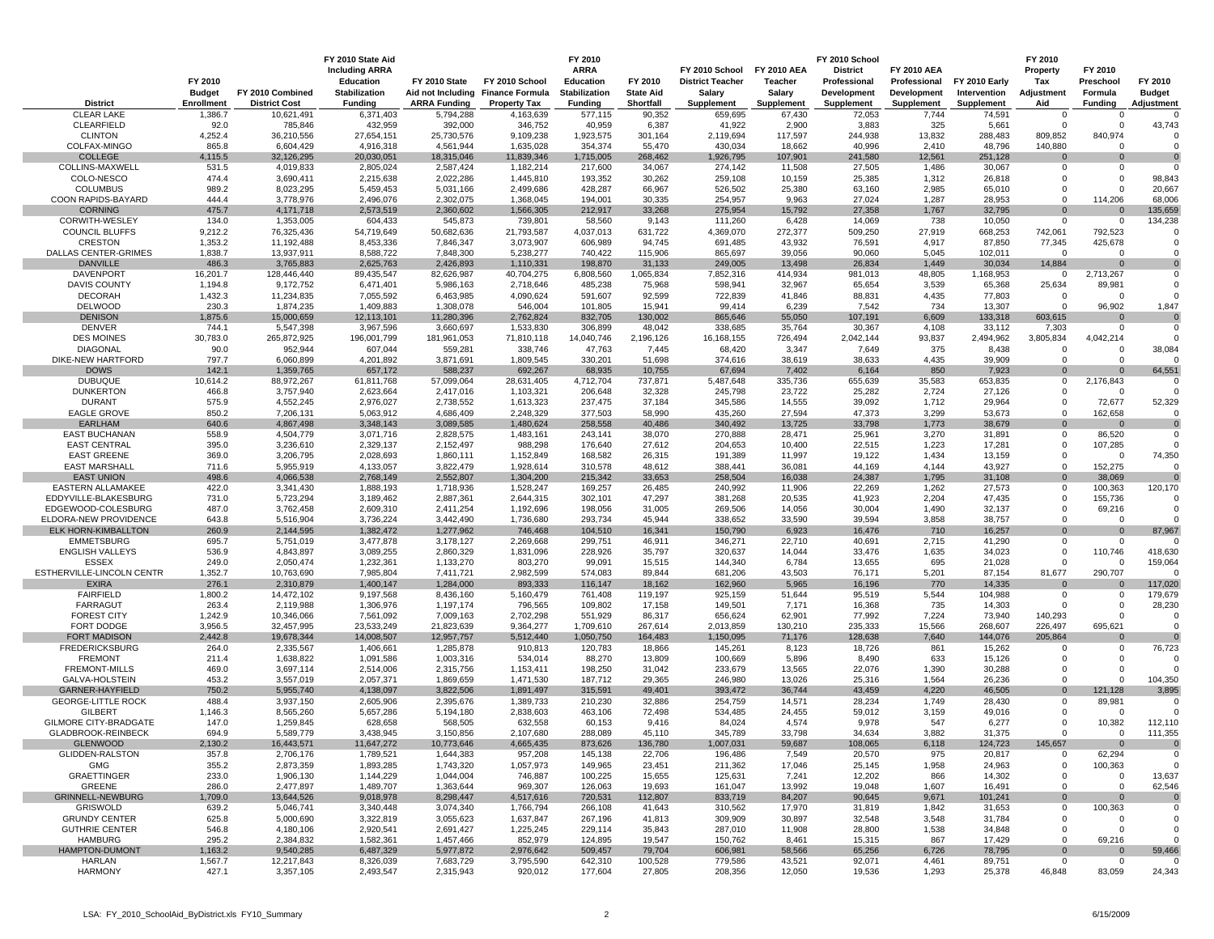|                                            | FY 2010<br><b>Budget</b> | FY 2010 Combined        | FY 2010 State Aid<br><b>Including ARRA</b><br><b>Education</b><br><b>Stabilization</b> | FY 2010 State           | FY 2010 School<br>Aid not Including Finance Formula | FY 2010<br><b>ARRA</b><br>Education<br><b>Stabilization</b> | FY 2010<br><b>State Aid</b> | FY 2010 School<br><b>District Teacher</b><br>Salary | <b>FY 2010 AEA</b><br>Teacher<br>Salary | FY 2010 School<br><b>District</b><br>Professional<br>Development | <b>FY 2010 AEA</b><br>Professional<br>Development | <b>FY 2010 Early</b><br>Intervention | FY 2010<br>Property<br>Tax<br>Adjustment | FY 2010<br>Preschool<br>Formula | FY 2010<br><b>Budget</b> |
|--------------------------------------------|--------------------------|-------------------------|----------------------------------------------------------------------------------------|-------------------------|-----------------------------------------------------|-------------------------------------------------------------|-----------------------------|-----------------------------------------------------|-----------------------------------------|------------------------------------------------------------------|---------------------------------------------------|--------------------------------------|------------------------------------------|---------------------------------|--------------------------|
| <b>District</b>                            | Enrollment               | <b>District Cost</b>    | <b>Funding</b>                                                                         | <b>ARRA Funding</b>     | <b>Property Tax</b>                                 | <b>Funding</b>                                              | Shortfall                   | Supplement                                          | Supplement                              | <b>Supplement</b>                                                | <b>Supplement</b>                                 | <b>Supplement</b>                    | Aid                                      | <b>Funding</b>                  | Adjustment               |
| <b>CLEAR LAKE</b>                          | 1,386.                   | 10,621,491              | 6,371,403                                                                              | 5,794,288               | 4,163,639                                           | 577,115                                                     | 90,352                      | 659,695                                             | 67,430                                  | 72,053                                                           | 7,744                                             | 74,591                               | 0                                        | - 0                             |                          |
| <b>CLEARFIELD</b>                          | 92.0                     | 785,846                 | 432,959                                                                                | 392,000                 | 346,752                                             | 40,959                                                      | 6,387                       | 41,922                                              | 2,900                                   | 3,883                                                            | 325                                               | 5,661                                | 0                                        | $\Omega$                        | 43,743                   |
| <b>CLINTON</b><br>COLFAX-MINGO             | 4,252.4<br>865.8         | 36,210,556<br>6,604,429 | 27,654,151<br>4,916,318                                                                | 25,730,576<br>4,561,944 | 9,109,238<br>1,635,028                              | 1,923,575<br>354,374                                        | 301,164<br>55,470           | 2,119,694<br>430,034                                | 117,597<br>18,662                       | 244,938<br>40,996                                                | 13,832<br>2,410                                   | 288,483<br>48,796                    | 809,852<br>140,880                       | 840,974<br>$\Omega$             |                          |
| <b>COLLEGE</b>                             | 4,115.5                  | 32,126,295              | 20,030,051                                                                             | 18,315,046              | 11,839,346                                          | 1,715,005                                                   | 268,462                     | 1,926,795                                           | 107,901                                 | 241,580                                                          | 12,561                                            | 251,128                              | 0                                        | $\Omega$                        |                          |
| COLLINS-MAXWELL                            | 531.5                    | 4,019,833               | 2,805,024                                                                              | 2,587,424               | 1,182,214                                           | 217,600                                                     | 34,067                      | 274,142                                             | 11,508                                  | 27,505                                                           | 1,486                                             | 30,067                               | 0                                        | $\mathbf 0$                     |                          |
| COLO-NESCO                                 | 474.4                    | 3,690,411               | 2,215,638                                                                              | 2,022,286               | 1,445,810                                           | 193,352                                                     | 30,262                      | 259,108                                             | 10,159                                  | 25,385                                                           | 1,312                                             | 26,818                               | 0                                        | $\overline{0}$                  | 98,843                   |
| <b>COLUMBUS</b>                            | 989.2                    | 8,023,295               | 5,459,453                                                                              | 5,031,166               | 2,499,686                                           | 428,287                                                     | 66,967                      | 526,502                                             | 25,380                                  | 63,160                                                           | 2,985                                             | 65,010                               | $\Omega$                                 | $\Omega$                        | 20,667                   |
| COON RAPIDS-BAYARD                         | 444.4                    | 3,778,976               | 2,496,076                                                                              | 2,302,075               | 1,368,045                                           | 194,001                                                     | 30,335                      | 254,957                                             | 9,963                                   | 27,024                                                           | 1,287                                             | 28,953                               | $\Omega$                                 | 114,206                         | 68,006                   |
| <b>CORNING</b><br>CORWITH-WESLEY           | 475.7<br>134.0           | 4,171,718<br>1,353,005  | 2,573,519<br>604,433                                                                   | 2,360,602<br>545,873    | 1,566,305<br>739,801                                | 212,917<br>58,560                                           | 33,268<br>9,143             | 275,954<br>111,260                                  | 15,792<br>6,428                         | 27,358<br>14,069                                                 | 1,767<br>738                                      | 32,795<br>10,050                     | $\Omega$<br>$\Omega$                     | $\Omega$<br>$\mathbf{0}$        | 135,659<br>134,238       |
| COUNCIL BLUFFS                             | 9,212.2                  | 76,325,436              | 54,719,649                                                                             | 50,682,636              | 21,793,587                                          | 4,037,013                                                   | 631,722                     | 4,369,070                                           | 272,377                                 | 509,250                                                          | 27,919                                            | 668,253                              | 742,061                                  | 792,523                         |                          |
| <b>CRESTON</b>                             | 1,353.2                  | 11,192,488              | 8,453,336                                                                              | 7,846,347               | 3,073,907                                           | 606,989                                                     | 94,745                      | 691,485                                             | 43,932                                  | 76,591                                                           | 4,917                                             | 87,850                               | 77,345                                   | 425,678                         |                          |
| <b>DALLAS CENTER-GRIMES</b>                | 1,838.7                  | 13,937,911              | 8,588,722                                                                              | 7,848,300               | 5,238,277                                           | 740,422                                                     | 115,906                     | 865,697                                             | 39,056                                  | 90,060                                                           | 5,045                                             | 102,011                              | $\mathbf 0$                              | $\Omega$                        |                          |
| <b>DANVILLE</b>                            | 486.3                    | 3,765,883               | 2,625,763                                                                              | 2,426,893               | 1,110,331                                           | 198,870                                                     | 31,133                      | 249,005                                             | 13,498                                  | 26,834                                                           | 1,449                                             | 30,034                               | 14,884                                   | $\mathbf 0$                     |                          |
| DAVENPORT                                  | 16,201.7                 | 128,446,440             | 89,435,547                                                                             | 82,626,987              | 40,704,275                                          | 6,808,560                                                   | 1,065,834                   | 7,852,316                                           | 414,934                                 | 981,013                                                          | 48,805                                            | 1,168,953                            | 0                                        | 2,713,267                       | O                        |
| <b>DAVIS COUNTY</b>                        | 1,194.8                  | 9,172,752               | 6,471,401                                                                              | 5,986,163               | 2,718,646                                           | 485,238                                                     | 75,968                      | 598,941                                             | 32,967                                  | 65,654                                                           | 3,539                                             | 65,368                               | 25,634                                   | 89,981                          |                          |
| <b>DECORAH</b><br><b>DELWOOD</b>           | 1,432.3<br>230.3         | 11,234,835<br>1,874,235 | 7,055,592<br>1,409,883                                                                 | 6,463,985<br>1,308,078  | 4,090,624<br>546,004                                | 591,607<br>101,805                                          | 92,599<br>15,941            | 722,839<br>99,414                                   | 41,846<br>6,239                         | 88,831<br>7,542                                                  | 4,435<br>734                                      | 77,803<br>13,307                     | $^{\circ}$<br>$\Omega$                   | $\Omega$<br>96,902              | 1,847                    |
| <b>DENISON</b>                             | 1,875.6                  | 15,000,659              | 12,113,101                                                                             | 11,280,396              | 2,762,824                                           | 832,705                                                     | 130,002                     | 865,646                                             | 55,050                                  | 107,191                                                          | 6,609                                             | 133,318                              | 603,615                                  | $\Omega$                        |                          |
| <b>DENVER</b>                              | 744.1                    | 5,547,398               | 3,967,596                                                                              | 3,660,697               | 1,533,830                                           | 306,899                                                     | 48,042                      | 338,685                                             | 35,764                                  | 30,367                                                           | 4,108                                             | 33,112                               | 7,303                                    | $\mathbf{0}$                    |                          |
| <b>DES MOINES</b>                          | 30,783.0                 | 265,872,925             | 196,001,799                                                                            | 181,961,053             | 71,810,118                                          | 14,040,746                                                  | 2,196,126                   | 16,168,155                                          | 726,494                                 | 2,042,144                                                        | 93,837                                            | 2,494,962                            | 3,805,834                                | 4,042,214                       |                          |
| <b>DIAGONAL</b>                            | 90.0                     | 952,944                 | 607,044                                                                                | 559,281                 | 338,746                                             | 47,763                                                      | 7,445                       | 68,420                                              | 3,347                                   | 7,649                                                            | 375                                               | 8,438                                | 0                                        | - 0                             | 38,084                   |
| DIKE-NEW HARTFORD                          | 797.7                    | 6,060,899               | 4,201,892                                                                              | 3,871,691               | 1,809,545                                           | 330,201                                                     | 51,698                      | 374,616                                             | 38,619                                  | 38,633                                                           | 4,435                                             | 39,909                               | $\Omega$                                 | $\mathbf{0}$                    |                          |
| <b>DOWS</b><br><b>DUBUQUE</b>              | 142.1<br>10,614.2        | 1,359,765<br>88,972,267 | 657,172<br>61,811,768                                                                  | 588,237<br>57,099,064   | 692,267<br>28,631,405                               | 68,935<br>4,712,704                                         | 10,755<br>737,871           | 67,694<br>5,487,648                                 | 7,402<br>335,736                        | 6,164<br>655,639                                                 | 850<br>35,583                                     | 7,923<br>653,835                     | $\Omega$<br>0                            | $\Omega$<br>2,176,843           | 64,551                   |
| <b>DUNKERTON</b>                           | 466.8                    | 3,757,940               | 2,623,664                                                                              | 2,417,016               | 1,103,321                                           | 206,648                                                     | 32,328                      | 245,798                                             | 23,722                                  | 25,282                                                           | 2,724                                             | 27,126                               | 0                                        | $\Omega$                        |                          |
| <b>DURANT</b>                              | 575.9                    | 4,552,245               | 2,976,027                                                                              | 2,738,552               | 1,613,323                                           | 237,475                                                     | 37,184                      | 345,586                                             | 14,555                                  | 39,092                                                           | 1,712                                             | 29,964                               | 0                                        | 72,677                          | 52,329                   |
| <b>EAGLE GROVE</b>                         | 850.2                    | 7,206,131               | 5,063,912                                                                              | 4,686,409               | 2,248,329                                           | 377,503                                                     | 58,990                      | 435,260                                             | 27,594                                  | 47,373                                                           | 3,299                                             | 53,673                               | $\mathbf 0$                              | 162,658                         |                          |
| <b>EARLHAM</b>                             | 640.6                    | 4,867,498               | 3,348,143                                                                              | 3,089,585               | 1,480,624                                           | 258,558                                                     | 40,486                      | 340,492                                             | 13,725                                  | 33,798                                                           | 1,773                                             | 38,679                               | $\mathbf 0$                              | $\Omega$                        |                          |
| <b>EAST BUCHANAN</b>                       | 558.9                    | 4,504,779               | 3,071,716                                                                              | 2,828,575               | 1,483,161                                           | 243,141                                                     | 38,070                      | 270,888                                             | 28,471                                  | 25,961                                                           | 3,270                                             | 31,891                               | 0                                        | 86,520                          | O                        |
| <b>EAST CENTRAL</b>                        | 395.0<br>369.0           | 3,236,610               | 2,329,137                                                                              | 2,152,497               | 988,298                                             | 176,640                                                     | 27,612                      | 204,653                                             | 10,400                                  | 22,515                                                           | 1,223                                             | 17,281                               | 0<br>0                                   | 107,285<br>$\Omega$             | 74,350                   |
| <b>EAST GREENE</b><br><b>EAST MARSHALL</b> | 711.6                    | 3,206,795<br>5,955,919  | 2,028,693<br>4,133,057                                                                 | 1,860,111<br>3,822,479  | 1,152,849<br>1,928,614                              | 168,582<br>310,578                                          | 26,315<br>48,612            | 191,389<br>388,441                                  | 11,997<br>36,081                        | 19,122<br>44,169                                                 | 1,434<br>4,144                                    | 13,159<br>43,927                     | $\Omega$                                 | 152,275                         |                          |
| <b>EAST UNION</b>                          | 498.6                    | 4,066,538               | 2,768,149                                                                              | 2,552,807               | 1,304,200                                           | 215,342                                                     | 33,653                      | 258,504                                             | 16,038                                  | 24,387                                                           | 1,795                                             | 31,108                               | $\Omega$                                 | 38,069                          |                          |
| EASTERN ALLAMAKEE                          | 422.0                    | 3,341,430               | 1,888,193                                                                              | 1,718,936               | 1,528,247                                           | 169,257                                                     | 26,485                      | 240,992                                             | 11,906                                  | 22,269                                                           | 1,262                                             | 27,573                               | $\Omega$                                 | 100,363                         | 120,170                  |
| EDDYVILLE-BLAKESBURG                       | 731.0                    | 5,723,294               | 3,189,462                                                                              | 2,887,361               | 2,644,315                                           | 302,101                                                     | 47,297                      | 381,268                                             | 20,535                                  | 41,923                                                           | 2,204                                             | 47,435                               | 0                                        | 155,736                         |                          |
| EDGEWOOD-COLESBURG                         | 487.0                    | 3,762,458               | 2,609,310                                                                              | 2,411,254               | 1,192,696                                           | 198,056                                                     | 31,005                      | 269,506                                             | 14,056                                  | 30,004                                                           | 1,490                                             | 32,137                               | 0                                        | 69,216                          |                          |
| ELDORA-NEW PROVIDENCE                      | 643.8                    | 5,516,904               | 3,736,224                                                                              | 3,442,490               | 1,736,680                                           | 293,734                                                     | 45,944                      | 338,652                                             | 33,590                                  | 39,594                                                           | 3,858                                             | 38,757                               | $\Omega$                                 | $\overline{0}$                  |                          |
| ELK HORN-KIMBALLTON<br><b>EMMETSBURG</b>   | 260.9<br>695.7           | 2,144,595<br>5,751,019  | 1,382,472<br>3,477,878                                                                 | 1,277,962<br>3,178,127  | 746,468<br>2,269,668                                | 104,510<br>299,751                                          | 16,341<br>46,911            | 150,790<br>346,271                                  | 6,923<br>22,710                         | 16,476<br>40,691                                                 | 710<br>2,715                                      | 16,257<br>41,290                     | $\mathbf 0$<br>0                         | $\overline{0}$<br>$\mathbf 0$   | 87,967                   |
| <b>ENGLISH VALLEYS</b>                     | 536.9                    | 4,843,897               | 3,089,255                                                                              | 2,860,329               | 1,831,096                                           | 228,926                                                     | 35,797                      | 320,637                                             | 14,044                                  | 33,476                                                           | 1,635                                             | 34,023                               | 0                                        | 110,746                         | 418,630                  |
| <b>ESSEX</b>                               | 249.0                    | 2,050,474               | 1,232,361                                                                              | 1,133,270               | 803,270                                             | 99,091                                                      | 15,515                      | 144,340                                             | 6,784                                   | 13,655                                                           | 695                                               | 21,028                               | 0                                        | $\Omega$                        | 159,064                  |
| ESTHERVILLE-LINCOLN CENTR                  | 1,352.7                  | 10,763,690              | 7,985,804                                                                              | 7,411,721               | 2,982,599                                           | 574,083                                                     | 89,844                      | 681,206                                             | 43,503                                  | 76,171                                                           | 5,201                                             | 87,154                               | 81,677                                   | 290,707                         |                          |
| <b>EXIRA</b>                               | 276.1                    | 2,310,879               | 1,400,147                                                                              | 1,284,000               | 893,333                                             | 116,147                                                     | 18,162                      | 162,960                                             | 5,965                                   | 16,196                                                           | 770                                               | 14,335                               | $\Omega$                                 | $\mathbf 0$                     | 117,020                  |
| <b>FAIRFIELD</b>                           | 1,800.2                  | 14,472,102              | 9,197,568                                                                              | 8,436,160               | 5,160,479                                           | 761,408                                                     | 119,197                     | 925,159                                             | 51,644                                  | 95,519                                                           | 5,544                                             | 104,988                              | $\mathbf 0$                              | $\mathbf 0$                     | 179,679                  |
| <b>FARRAGUT</b><br><b>FOREST CITY</b>      | 263.4<br>1,242.9         | 2,119,988<br>10,346,066 | 1,306,976<br>7,561,092                                                                 | 1,197,174<br>7,009,163  | 796,565<br>2,702,298                                | 109,802<br>551,929                                          | 17,158<br>86,317            | 149,501<br>656,624                                  | 7,171<br>62,901                         | 16,368<br>77,992                                                 | 735<br>7,224                                      | 14,303<br>73,940                     | $\Omega$<br>140,293                      | $\overline{0}$<br>$\Omega$      | 28,230                   |
| FORT DODGE                                 | 3,956.5                  | 32,457,995              | 23,533,249                                                                             | 21,823,639              | 9,364,277                                           | 1,709,610                                                   | 267,614                     | 2,013,859                                           | 130,210                                 | 235,333                                                          | 15,566                                            | 268,607                              | 226,497                                  | 695,621                         |                          |
| <b>FORT MADISON</b>                        | 2.442.8                  | 19,678,344              | 14,008,507                                                                             | 12,957,757              | 5,512,440                                           | 1,050,750                                                   | 164,483                     | 1,150,095                                           | 71,176                                  | 128,638                                                          | 7,640                                             | 144,076                              | 205,864                                  | $\Omega$                        |                          |
| <b>FREDERICKSBURG</b>                      | 264.0                    | 2,335,567               | 1,406,661                                                                              | 1,285,878               | 910,813                                             | 120,783                                                     | 18,866                      | 145,261                                             | 8,123                                   | 18,726                                                           | 861                                               | 15,262                               | $^{\circ}$                               | $\mathbf 0$                     | 76,723                   |
| <b>FREMONT</b>                             | 211.4                    | 1,638,822               | 1,091,586                                                                              | 1,003,316               | 534,014                                             | 88,270                                                      | 13,809                      | 100,669                                             | 5,896                                   | 8,490                                                            | 633                                               | 15,126                               | $\Omega$                                 | $\overline{0}$                  |                          |
| <b>FREMONT-MILLS</b>                       | 469.0                    | 3,697,114               | 2,514,006                                                                              | 2,315,756               | 1,153,411                                           | 198,250                                                     | 31,042                      | 233,679                                             | 13,565                                  | 22,076                                                           | 1,390                                             | 30,288                               | $\Omega$                                 | $\overline{0}$                  |                          |
| GALVA-HOLSTEIN<br>GARNER-HAYFIELD          | 453.2<br>750.2           | 3,557,019<br>5,955,740  | 2,057,371                                                                              | 1,869,659<br>3,822,506  | 1,471,530                                           | 187,712                                                     | 29,365<br>49,401            | 246,980<br>393,472                                  | 13,026<br>36,744                        | 25,316<br>43,459                                                 | 1,564<br>4,220                                    | 26,236<br>46,505                     | $\mathbf 0$<br>$\mathbf 0$               | $\overline{0}$                  | 104,350<br>3,895         |
| <b>GEORGE-LITTLE ROCK</b>                  | 488.4                    | 3,937,150               | 4,138,097<br>2,605,906                                                                 | 2,395,676               | 1,891,497<br>1,389,733                              | 315,591<br>210,230                                          | 32,886                      | 254,759                                             | 14,571                                  | 28,234                                                           | 1,749                                             | 28,430                               | 0                                        | 121,128<br>89,981               |                          |
| <b>GILBERT</b>                             | 1,146.3                  | 8,565,260               | 5,657,286                                                                              | 5,194,180               | 2,838,603                                           | 463,106                                                     | 72,498                      | 534,485                                             | 24,455                                  | 59,012                                                           | 3,159                                             | 49,016                               | 0                                        | 0                               |                          |
| GILMORE CITY-BRADGATE                      | 147.0                    | 1,259,845               | 628,658                                                                                | 568,505                 | 632,558                                             | 60,153                                                      | 9,416                       | 84,024                                              | 4,574                                   | 9,978                                                            | 547                                               | 6,277                                | $\Omega$                                 | 10,382                          | 112,110                  |
| GLADBROOK-REINBECK                         | 694.9                    | 5,589,779               | 3,438,945                                                                              | 3,150,856               | 2,107,680                                           | 288,089                                                     | 45,110                      | 345,789                                             | 33,798                                  | 34,634                                                           | 3,882                                             | 31,375                               | $\Omega$                                 | $\Omega$                        | 111,355                  |
| <b>GLENWOOD</b>                            | 2,130.2                  | 16,443,571              | 11,647,272                                                                             | 10,773,646              | 4,665,435                                           | 873,626                                                     | 136,780                     | 1,007,031                                           | 59,687                                  | 108,065                                                          | 6,118                                             | 124,723                              | 145,657                                  | $\overline{0}$                  |                          |
| <b>GLIDDEN-RALSTON</b><br>GMG              | 357.8<br>355.2           | 2,706,176<br>2,873,359  | 1,789,521<br>1,893,285                                                                 | 1,644,383<br>1,743,320  | 957,208<br>1,057,973                                | 145,138<br>149,965                                          | 22,706<br>23,451            | 196,486<br>211,362                                  | 7,549<br>17,046                         | 20,570                                                           | 975<br>1,958                                      | 20,817<br>24,963                     | 0<br>0                                   | 62,294<br>100,363               |                          |
| <b>GRAETTINGER</b>                         | 233.0                    | 1,906,130               | 1,144,229                                                                              | 1,044,004               | 746,887                                             | 100,225                                                     | 15,655                      | 125,631                                             | 7,241                                   | 25,145<br>12,202                                                 | 866                                               | 14,302                               | 0                                        | $\mathbf 0$                     | 13,637                   |
| GREENE                                     | 286.0                    | 2,477,897               | 1,489,707                                                                              | 1,363,644               | 969,307                                             | 126,063                                                     | 19,693                      | 161,047                                             | 13,992                                  | 19,048                                                           | 1,607                                             | 16,491                               | 0                                        | $\mathbf 0$                     | 62,546                   |
| <b>GRINNELL-NEWBURG</b>                    | 1,709.0                  | 13,644,526              | 9,018,978                                                                              | 8,298,447               | 4,517,616                                           | 720,531                                                     | 112,807                     | 833,719                                             | 84,207                                  | 90,645                                                           | 9,671                                             | 101,241                              | $\mathbf 0$                              | $\mathbf 0$                     |                          |
| <b>GRISWOLD</b>                            | 639.2                    | 5,046,741               | 3,340,448                                                                              | 3,074,340               | 1,766,794                                           | 266,108                                                     | 41,643                      | 310,562                                             | 17,970                                  | 31,819                                                           | 1,842                                             | 31,653                               | 0                                        | 100,363                         |                          |
| <b>GRUNDY CENTER</b>                       | 625.8                    | 5,000,690               | 3,322,819                                                                              | 3,055,623               | 1,637,847                                           | 267,196                                                     | 41,813                      | 309,909                                             | 30,897                                  | 32,548                                                           | 3,548                                             | 31,784                               | 0                                        | - 0                             |                          |
| <b>GUTHRIE CENTER</b>                      | 546.8                    | 4,180,106               | 2,920,541                                                                              | 2,691,427               | 1,225,245                                           | 229,114                                                     | 35,843                      | 287,010                                             | 11,908                                  | 28,800                                                           | 1,538                                             | 34,848                               | 0                                        | $\Omega$                        |                          |
| HAMBURG<br><b>HAMPTON-DUMONT</b>           | 295.2                    | 2,384,832               | 1,582,361                                                                              | 1,457,466               | 852,979                                             | 124,895                                                     | 19,547                      | 150,762                                             | 8,461                                   | 15,315                                                           | 867                                               | 17,429                               | $\Omega$                                 | 69,216                          |                          |
| HARLAN                                     | 1,163.2<br>1,567.7       | 9,540,285<br>12,217,843 | 6,487,329<br>8,326,039                                                                 | 5,977,872<br>7,683,729  | 2,976,642<br>3,795,590                              | 509,457<br>642,310                                          | 79,704<br>100,528           | 606,981<br>779,586                                  | 58,566<br>43,521                        | 65,256<br>92,071                                                 | 6,726<br>4,461                                    | 78,795<br>89,751                     | $\mathbf 0$<br>$\mathbf 0$               | $\mathbf{0}$<br>$\mathbf 0$     | 59,466<br>O              |
| <b>HARMONY</b>                             | 427.1                    | 3,357,105               | 2,493,547                                                                              | 2,315,943               | 920,012                                             | 177,604                                                     | 27,805                      | 208,356                                             | 12,050                                  | 19,536                                                           | 1,293                                             | 25,378                               | 46,848                                   | 83,059                          | 24,343                   |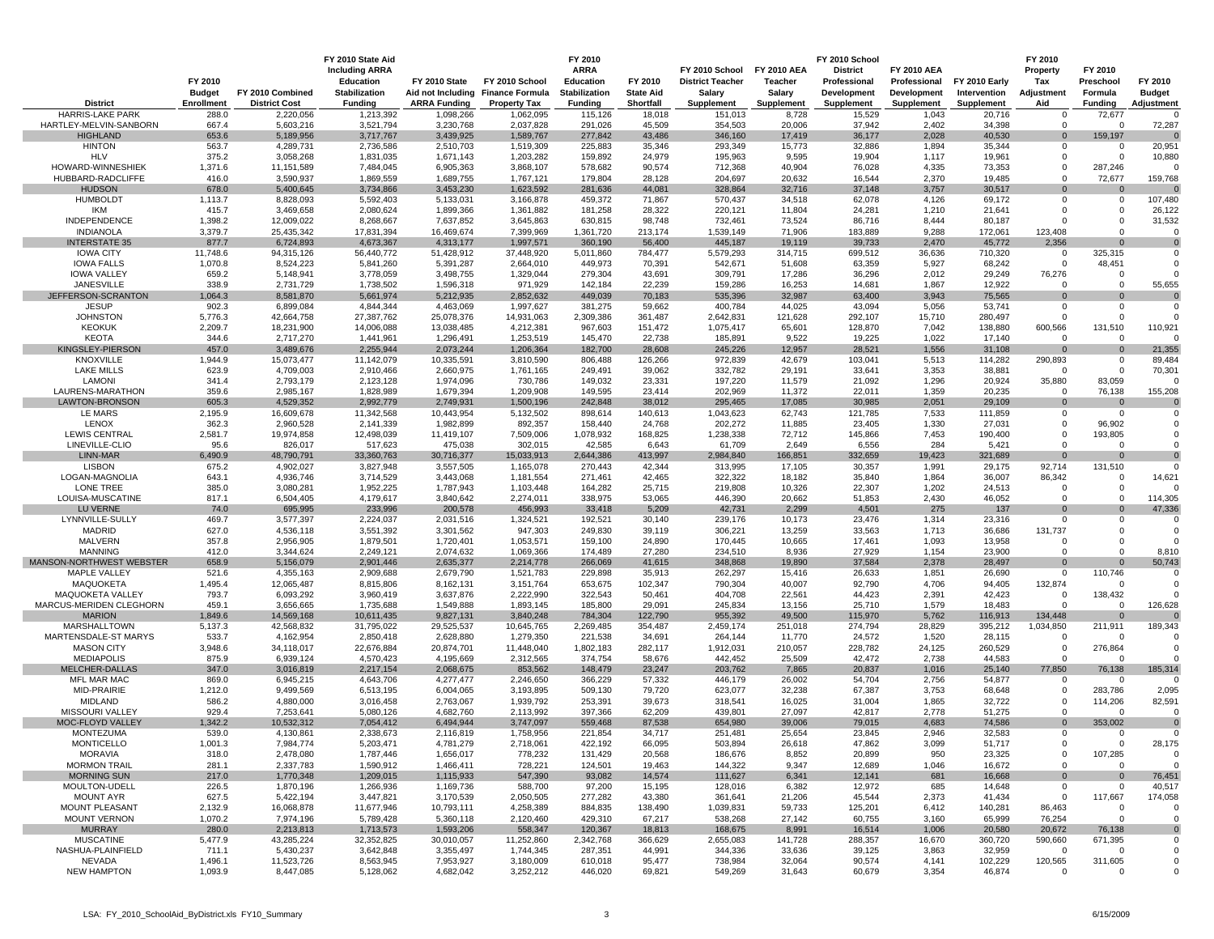|                                         | FY 2010<br><b>Budget</b> | FY 2010 Combined        | FY 2010 State Aid<br><b>Including ARRA</b><br><b>Education</b><br>Stabilization | FY 2010 State           | FY 2010 School<br>Aid not Including Finance Formula | FY 2010<br><b>ARRA</b><br><b>Education</b><br>Stabilization | FY 2010<br><b>State Aid</b> | FY 2010 School<br><b>District Teacher</b><br>Salary | <b>FY 2010 AEA</b><br><b>Teacher</b><br>Salary | FY 2010 School<br><b>District</b><br>Professional<br>Development | <b>FY 2010 AEA</b><br>Professional<br>Development | FY 2010 Early<br>Intervention | FY 2010<br>Property<br>Tax<br>Adjustment | FY 2010<br>Preschool<br>Formula | FY 2010<br><b>Budget</b> |
|-----------------------------------------|--------------------------|-------------------------|---------------------------------------------------------------------------------|-------------------------|-----------------------------------------------------|-------------------------------------------------------------|-----------------------------|-----------------------------------------------------|------------------------------------------------|------------------------------------------------------------------|---------------------------------------------------|-------------------------------|------------------------------------------|---------------------------------|--------------------------|
| <b>District</b>                         | Enrollment               | <b>District Cost</b>    | <b>Funding</b>                                                                  | <b>ARRA Funding</b>     | <b>Property Tax</b>                                 | <b>Funding</b>                                              | Shortfall                   | <b>Supplement</b>                                   | Supplement                                     | Supplement                                                       | Supplement                                        | <b>Supplement</b>             | Aid                                      | <b>Funding</b>                  | Adjustment               |
| <b>HARRIS-LAKE PARK</b>                 | 288.0                    | 2,220,056               | 1,213,392                                                                       | 1,098,266               | 1,062,095                                           | 115,126                                                     | 18,018                      | 151,013                                             | 8,728                                          | 15,529                                                           | 1,043                                             | 20,716                        | 0                                        | 72,677                          |                          |
| HARTLEY-MELVIN-SANBORN                  | 667.4                    | 5,603,216               | 3,521,794                                                                       | 3,230,768               | 2,037,828                                           | 291,026                                                     | 45,509                      | 354,503                                             | 20,006                                         | 37,942                                                           | 2,402                                             | 34,398                        | $\Omega$                                 | $\Omega$                        | 72,287                   |
| <b>HIGHLAND</b>                         | 653.6                    | 5,189,956               | 3,717,767                                                                       | 3,439,925               | 1,589,767                                           | 277,842                                                     | 43,486                      | 346,160                                             | 17,419                                         | 36,177                                                           | 2,028                                             | 40,530                        | $\mathbf 0$<br>0                         | 159,197<br>$\mathbf 0$          |                          |
| <b>HINTON</b><br><b>HLV</b>             | 563.7<br>375.2           | 4,289,731<br>3,058,268  | 2,736,586<br>1,831,035                                                          | 2,510,703<br>1,671,143  | 1,519,309<br>1,203,282                              | 225,883<br>159,892                                          | 35,346<br>24,979            | 293,349<br>195,963                                  | 15,773<br>9,595                                | 32,886<br>19,904                                                 | 1,894<br>1,117                                    | 35,344<br>19,961              | 0                                        | $\overline{0}$                  | 20,951<br>10,880         |
| HOWARD-WINNESHIEK                       | 1,371.6                  | 11,151,589              | 7,484,045                                                                       | 6,905,363               | 3,868,107                                           | 578,682                                                     | 90,574                      | 712,368                                             | 40,904                                         | 76,028                                                           | 4,335                                             | 73,353                        | 0                                        | 287,246                         |                          |
| HUBBARD-RADCLIFFE                       | 416.0                    | 3,590,937               | 1,869,559                                                                       | 1,689,755               | 1,767,121                                           | 179,804                                                     | 28,128                      | 204,697                                             | 20,632                                         | 16,544                                                           | 2,370                                             | 19,485                        | $\Omega$                                 | 72,677                          | 159,768                  |
| <b>HUDSON</b>                           | 678.0                    | 5,400,645               | 3,734,866                                                                       | 3,453,230               | 1,623,592                                           | 281,636                                                     | 44,081                      | 328,864                                             | 32,716                                         | 37,148                                                           | 3,757                                             | 30,517                        |                                          | $\mathbf 0$                     |                          |
| <b>HUMBOLDT</b>                         | 1,113.7                  | 8,828,093               | 5,592,403                                                                       | 5,133,031               | 3,166,878                                           | 459,372                                                     | 71,867                      | 570,437                                             | 34,518                                         | 62,078                                                           | 4,126                                             | 69,172                        | 0                                        | $\mathbf 0$                     | 107,480                  |
| IKM<br>INDEPENDENCE                     | 415.7<br>1,398.2         | 3,469,658<br>12,009,022 | 2,080,624                                                                       | 1,899,366               | 1,361,882                                           | 181,258<br>630,815                                          | 28,322<br>98,748            | 220,121<br>732,461                                  | 11,804<br>73,524                               | 24,281<br>86,716                                                 | 1,210<br>8,444                                    | 21,641<br>80,187              | $\Omega$<br>$\Omega$                     | $\Omega$<br>$\overline{0}$      | 26,122<br>31,532         |
| <b>INDIANOLA</b>                        | 3,379.7                  | 25,435,342              | 8,268,667<br>17,831,394                                                         | 7,637,852<br>16,469,674 | 3,645,863<br>7,399,969                              | 1,361,720                                                   | 213,174                     | 1,539,149                                           | 71,906                                         | 183,889                                                          | 9,288                                             | 172,061                       | 123,408                                  | $\mathbf 0$                     |                          |
| <b>INTERSTATE 35</b>                    | 877.7                    | 6,724,893               | 4,673,367                                                                       | 4,313,177               | 1,997,571                                           | 360,190                                                     | 56,400                      | 445,187                                             | 19,119                                         | 39,733                                                           | 2,470                                             | 45,772                        | 2,356                                    | $\Omega$                        |                          |
| <b>IOWA CITY</b>                        | 11,748.6                 | 94,315,126              | 56,440,772                                                                      | 51,428,912              | 37,448,920                                          | 5,011,860                                                   | 784,477                     | 5,579,293                                           | 314,715                                        | 699,512                                                          | 36,636                                            | 710,320                       | $\mathbf 0$                              | 325,315                         |                          |
| <b>IOWA FALLS</b>                       | 1,070.8                  | 8,524,223               | 5,841,260                                                                       | 5,391,287               | 2,664,010                                           | 449,973                                                     | 70,391                      | 542,671                                             | 51,608                                         | 63,359                                                           | 5,927                                             | 68,242                        | $\mathbf 0$                              | 48,451                          |                          |
| <b>IOWA VALLEY</b>                      | 659.2                    | 5,148,941               | 3,778,059                                                                       | 3,498,755               | 1,329,044                                           | 279,304                                                     | 43,691                      | 309,791                                             | 17,286                                         | 36,296                                                           | 2,012                                             | 29,249                        | 76,276                                   | $\Omega$                        |                          |
| <b>JANESVILLE</b><br>JEFFERSON-SCRANTON | 338.9<br>1,064.3         | 2,731,729<br>8,581,870  | 1,738,502<br>5,661,974                                                          | 1,596,318<br>5,212,935  | 971,929<br>2,852,632                                | 142,184<br>449,039                                          | 22,239<br>70,183            | 159,286<br>535,396                                  | 16,253<br>32,987                               | 14,681<br>63,400                                                 | 1,867<br>3,943                                    | 12,922<br>75,565              | 0<br>$\mathbf 0$                         | $\mathbf 0$<br>$\mathbf 0$      | 55,655                   |
| <b>JESUP</b>                            | 902.3                    | 6,899,084               | 4,844,344                                                                       | 4,463,069               | 1,997,627                                           | 381,275                                                     | 59,662                      | 400,784                                             | 44,025                                         | 43,094                                                           | 5,056                                             | 53,741                        | $\Omega$                                 | $\Omega$                        | O                        |
| <b>JOHNSTON</b>                         | 5,776.3                  | 42,664,758              | 27,387,762                                                                      | 25,078,376              | 14,931,063                                          | 2,309,386                                                   | 361,487                     | 2,642,831                                           | 121,628                                        | 292,107                                                          | 15,710                                            | 280,497                       | 0                                        | $\Omega$                        |                          |
| <b>KEOKUK</b>                           | 2,209.7                  | 18,231,900              | 14,006,088                                                                      | 13,038,485              | 4,212,381                                           | 967,603                                                     | 151,472                     | 1,075,417                                           | 65,601                                         | 128,870                                                          | 7,042                                             | 138,880                       | 600,566                                  | 131,510                         | 110,921                  |
| <b>KEOTA</b>                            | 344.6                    | 2,717,270               | 1,441,961                                                                       | 1,296,491               | 1,253,519                                           | 145,470                                                     | 22,738                      | 185,891                                             | 9,522                                          | 19,225                                                           | 1,022                                             | 17,140                        | $\Omega$                                 | $\Omega$                        |                          |
| KINGSLEY-PIERSON                        | 457.0                    | 3,489,676               | 2,255,944                                                                       | 2,073,244               | 1,206,364                                           | 182,700                                                     | 28,608                      | 245,226                                             | 12,957                                         | 28,521                                                           | 1,556                                             | 31,108                        | $\mathbf 0$                              | $\Omega$                        | 21,355                   |
| <b>KNOXVILLE</b><br><b>LAKE MILLS</b>   | 1,944.9<br>623.9         | 15,073,477<br>4,709,003 | 11,142,079<br>2,910,466                                                         | 10,335,591<br>2,660,975 | 3,810,590<br>1,761,165                              | 806,488<br>249,491                                          | 126,266<br>39,062           | 972,839<br>332,782                                  | 42,679<br>29,191                               | 103,041<br>33,641                                                | 5,513<br>3,353                                    | 114,282<br>38,881             | 290,893<br>$\Omega$                      | $\mathbf 0$<br>$\overline{0}$   | 89,484<br>70,301         |
| LAMONI                                  | 341.4                    | 2,793,179               | 2,123,128                                                                       | 1,974,096               | 730,786                                             | 149,032                                                     | 23,331                      | 197,220                                             | 11,579                                         | 21,092                                                           | 1,296                                             | 20,924                        | 35,880                                   | 83,059                          |                          |
| LAURENS-MARATHON                        | 359.6                    | 2,985,167               | 1,828,989                                                                       | 1,679,394               | 1,209,908                                           | 149,595                                                     | 23,414                      | 202,969                                             | 11,372                                         | 22,011                                                           | 1,359                                             | 20,235                        | $\Omega$                                 | 76,138                          | 155,208                  |
| <b>LAWTON-BRONSON</b>                   | 605.3                    | 4,529,352               | 2,992,779                                                                       | 2,749,931               | 1,500,196                                           | 242,848                                                     | 38,012                      | 295,465                                             | 17,085                                         | 30,985                                                           | 2,051                                             | 29,109                        | $\mathbf 0$                              | $\mathbf{0}$                    |                          |
| <b>LE MARS</b>                          | 2,195.9                  | 16,609,678              | 11,342,568                                                                      | 10,443,954              | 5,132,502                                           | 898,614                                                     | 140,613                     | 1,043,623                                           | 62,743                                         | 121,785                                                          | 7,533                                             | 111,859                       | 0                                        | $\mathbf 0$                     |                          |
| <b>LENOX</b>                            | 362.3                    | 2,960,528               | 2,141,339                                                                       | 1,982,899               | 892,357                                             | 158,440                                                     | 24,768                      | 202,272                                             | 11,885                                         | 23,405                                                           | 1,330                                             | 27,031                        | $\Omega$                                 | 96,902                          |                          |
| <b>LEWIS CENTRAL</b><br>LINEVILLE-CLIO  | 2,581.7<br>95.6          | 19,974,858<br>826,017   | 12,498,039<br>517,623                                                           | 11,419,107<br>475,038   | 7,509,006<br>302,015                                | 1,078,932<br>42,585                                         | 168,825<br>6,643            | 1,238,338<br>61,709                                 | 72,712<br>2,649                                | 145,866<br>6,556                                                 | 7,453<br>284                                      | 190,400<br>5,421              | 0<br>$\Omega$                            | 193,805<br>$\Omega$             | $\Omega$                 |
| LINN-MAR                                | 6,490.9                  | 48,790,791              | 33,360,763                                                                      | 30,716,377              | 15,033,913                                          | 2,644,386                                                   | 413,997                     | 2,984,840                                           | 166,851                                        | 332,659                                                          | 19,423                                            | 321,689                       | $\Omega$                                 | $\Omega$                        |                          |
| <b>LISBON</b>                           | 675.2                    | 4,902,027               | 3,827,948                                                                       | 3,557,505               | 1,165,078                                           | 270,443                                                     | 42,344                      | 313,995                                             | 17,105                                         | 30,357                                                           | 1,991                                             | 29,175                        | 92,714                                   | 131,510                         |                          |
| LOGAN-MAGNOLIA                          | 643.1                    | 4,936,746               | 3,714,529                                                                       | 3,443,068               | 1,181,554                                           | 271,461                                                     | 42,465                      | 322,322                                             | 18,182                                         | 35,840                                                           | 1,864                                             | 36,007                        | 86,342                                   | $\Omega$                        | 14,621                   |
| LONE TREE                               | 385.0                    | 3,080,281               | 1,952,225                                                                       | 1,787,943               | 1,103,448                                           | 164,282                                                     | 25,715                      | 219,808                                             | 10,326                                         | 22,307                                                           | 1,202                                             | 24,513                        | 0                                        | $\Omega$                        |                          |
| LOUISA-MUSCATINE                        | 817.1                    | 6,504,405               | 4,179,617                                                                       | 3,840,642               | 2,274,011                                           | 338,975                                                     | 53,065                      | 446,390                                             | 20,662                                         | 51,853                                                           | 2,430                                             | 46,052                        | $\Omega$                                 | $\mathbf 0$                     | 114,305                  |
| LU VERNE<br>LYNNVILLE-SULLY             | 74.0<br>469.7            | 695,995<br>3,577,397    | 233,996<br>2,224,037                                                            | 200,578<br>2,031,516    | 456,993<br>1,324,521                                | 33,418<br>192,521                                           | 5,209<br>30,140             | 42,731<br>239,176                                   | 2,299<br>10,173                                | 4,501<br>23,476                                                  | 275<br>1,314                                      | 137<br>23,316                 | $\Omega$<br>0                            | $\Omega$<br>$\mathbf 0$         | 47,336                   |
| <b>MADRID</b>                           | 627.0                    | 4,536,118               | 3,551,392                                                                       | 3,301,562               | 947,303                                             | 249,830                                                     | 39,119                      | 306,221                                             | 13,259                                         | 33,563                                                           | 1,713                                             | 36,686                        | 131,737                                  | $\Omega$                        |                          |
| <b>MALVERN</b>                          | 357.8                    | 2,956,905               | 1,879,501                                                                       | 1,720,401               | 1,053,571                                           | 159,100                                                     | 24,890                      | 170,445                                             | 10,665                                         | 17,461                                                           | 1,093                                             | 13,958                        | 0                                        | $\Omega$                        |                          |
| <b>MANNING</b>                          | 412.0                    | 3,344,624               | 2,249,121                                                                       | 2,074,632               | 1,069,366                                           | 174,489                                                     | 27,280                      | 234,510                                             | 8,936                                          | 27,929                                                           | 1,154                                             | 23,900                        | 0                                        | $\mathbf 0$                     | 8,810                    |
| MANSON-NORTHWEST WEBSTER                | 658.9                    | 5,156,079               | 2,901,446                                                                       | 2,635,377               | 2,214,778                                           | 266,069                                                     | 41,615                      | 348,868                                             | 19,890                                         | 37,584                                                           | 2,378                                             | 28,497                        | $\mathbf 0$                              | $\mathbf 0$                     | 50,743                   |
| <b>MAPLE VALLEY</b>                     | 521.6                    | 4,355,163               | 2,909,688                                                                       | 2,679,790               | 1,521,783                                           | 229,898                                                     | 35,913                      | 262,297                                             | 15,416                                         | 26,633                                                           | 1,851                                             | 26,690                        | 0                                        | 110,746                         | O                        |
| MAQUOKETA<br>MAQUOKETA VALLEY           | 1,495.4<br>793.7         | 12,065,487<br>6,093,292 | 8,815,806<br>3,960,419                                                          | 8,162,131<br>3,637,876  | 3,151,764<br>2,222,990                              | 653,675<br>322,543                                          | 102,347<br>50,461           | 790,304<br>404,708                                  | 40,007<br>22,561                               | 92,790<br>44,423                                                 | 4,706<br>2,391                                    | 94,405<br>42,423              | 132,874<br>$\Omega$                      | $\overline{0}$<br>138,432       |                          |
| MARCUS-MERIDEN CLEGHORN                 | 459.1                    | 3,656,665               | 1,735,688                                                                       | 1,549,888               | 1,893,145                                           | 185,800                                                     | 29,091                      | 245,834                                             | 13,156                                         | 25,710                                                           | 1,579                                             | 18,483                        | $\Omega$                                 | $\Omega$                        | 126,628                  |
| <b>MARION</b>                           | 1,849.6                  | 14,569,168              | 10,611,435                                                                      | 9,827,131               | 3,840,248                                           | 784,304                                                     | 122,790                     | 955,392                                             | 49,500                                         | 115,970                                                          | 5,762                                             | 116,913                       | 134,448                                  | $\Omega$                        |                          |
| MARSHALLTOWN                            | 5,137.3                  | 42,568,832              | 31,795,022                                                                      | 29,525,537              | 10,645,765                                          | 2,269,485                                                   | 354,487                     | 2,459,174                                           | 251,018                                        | 274,794                                                          | 28,829                                            | 395,212                       | 1,034,850                                | 211,911                         | 189,343                  |
| MARTENSDALE-ST MARYS                    | 533.7                    | 4,162,954               | 2,850,418                                                                       | 2,628,880               | 1,279,350                                           | 221,538                                                     | 34,691                      | 264,144                                             | 11,770                                         | 24,572                                                           | 1,520                                             | 28,115                        | 0                                        | - 0                             |                          |
| <b>MASON CITY</b><br><b>MEDIAPOLIS</b>  | 3,948.6<br>875.9         | 34,118,017              | 22,676,884                                                                      | 20,874,701<br>4,195,669 | 11,448,040                                          | 1,802,183                                                   | 282,117                     | 1,912,031<br>442,452                                | 210,057<br>25,509                              | 228,782<br>42,472                                                | 24,125                                            | 260,529<br>44,583             | $\mathbf 0$<br>$\Omega$                  | 276,864<br>$\mathbf 0$          | $\Omega$                 |
| MELCHER-DALLAS                          | 347.0                    | 6,939,124<br>3,016,819  | 4,570,423<br>2,217,154                                                          | 2,068,675               | 2,312,565<br>853,562                                | 374,754<br>148,479                                          | 58,676<br>23,247            | 203,762                                             | 7,865                                          | 20,837                                                           | 2,738<br>1,016                                    | 25,140                        | 77,850                                   | 76,138                          | 185,314                  |
| <b>MFL MAR MAC</b>                      | 869.0                    | 6,945,215               | 4,643,706                                                                       | 4,277,477               | 2,246,650                                           | 366,229                                                     | 57,332                      | 446,179                                             | 26,002                                         | 54,704                                                           | 2,756                                             | 54,877                        | $^{\circ}$                               | $\mathbf 0$                     |                          |
| MID-PRAIRIE                             | 1,212.0                  | 9,499,569               | 6,513,195                                                                       | 6,004,065               | 3,193,895                                           | 509,130                                                     | 79,720                      | 623,077                                             | 32,238                                         | 67,387                                                           | 3,753                                             | 68,648                        | $\Omega$                                 | 283,786                         | 2,095                    |
| MIDLAND                                 | 586.2                    | 4,880,000               | 3,016,458                                                                       | 2,763,067               | 1,939,792                                           | 253,391                                                     | 39,673                      | 318,541                                             | 16,025                                         | 31,004                                                           | 1,865                                             | 32,722                        | 0                                        | 114,206                         | 82,591                   |
| MISSOURI VALLEY                         | 929.4                    | 7,253,641               | 5,080,126                                                                       | 4,682,760               | 2,113,992                                           | 397,366                                                     | 62,209                      | 439,801                                             | 27,097                                         | 42,817                                                           | 2,778                                             | 51,275                        | $\Omega$                                 | $\Omega$                        | $\Omega$                 |
| MOC-FLOYD VALLEY<br><b>MONTEZUMA</b>    | 1,342.2<br>539.0         | 10,532,312              | 7,054,412                                                                       | 6,494,944               | 3,747,097                                           | 559,468                                                     | 87,538                      | 654,980                                             | 39,006                                         | 79,015                                                           | 4,683<br>2,946                                    | 74,586<br>32,583              | $\mathbf 0$                              | 353,002<br>$\Omega$             | O                        |
| <b>MONTICELLO</b>                       | 1,001.3                  | 4,130,861<br>7,984,774  | 2,338,673<br>5,203,471                                                          | 2,116,819<br>4,781,279  | 1,758,956<br>2,718,061                              | 221,854<br>422,192                                          | 34,717<br>66,095            | 251,481<br>503,894                                  | 25,654<br>26,618                               | 23,845<br>47,862                                                 | 3,099                                             | 51,717                        | $\mathbf 0$<br>$\Omega$                  | $\mathbf 0$                     | 28,175                   |
| MORAVIA                                 | 318.0                    | 2,478,080               | 1,787,446                                                                       | 1,656,017               | 778,232                                             | 131,429                                                     | 20,568                      | 186,676                                             | 8,852                                          | 20,899                                                           | 950                                               | 23,325                        | 0                                        | 107,285                         | O                        |
| <b>MORMON TRAIL</b>                     | 281.1                    | 2,337,783               | 1,590,912                                                                       | 1,466,411               | 728,221                                             | 124,501                                                     | 19,463                      | 144,322                                             | 9,347                                          | 12,689                                                           | 1,046                                             | 16,672                        | $\mathbf 0$                              | $\mathbf 0$                     |                          |
| <b>MORNING SUN</b>                      | 217.0                    | 1,770,348               | 1,209,015                                                                       | 1,115,933               | 547,390                                             | 93,082                                                      | 14,574                      | 111,627                                             | 6,341                                          | 12,141                                                           | 681                                               | 16,668                        | $\mathbf{0}$                             | $\mathbf{0}$                    | 76,451                   |
| MOULTON-UDELL                           | 226.5                    | 1,870,196               | 1,266,936                                                                       | 1,169,736               | 588,700                                             | 97,200                                                      | 15,195                      | 128,016                                             | 6,382                                          | 12,972                                                           | 685                                               | 14,648                        | 0                                        | $\mathbf 0$                     | 40,517                   |
| <b>MOUNT AYR</b>                        | 627.5                    | 5,422,194               | 3,447,821                                                                       | 3,170,539               | 2,050,505                                           | 277,282                                                     | 43,380                      | 361,641                                             | 21,206                                         | 45,544                                                           | 2,373                                             | 41,434                        | $\mathbf 0$                              | 117,667                         | 174,058                  |
| MOUNT PLEASANT<br><b>MOUNT VERNON</b>   | 2,132.9<br>1,070.2       | 16,068,878<br>7,974,196 | 11,677,946<br>5,789,428                                                         | 10,793,111<br>5,360,118 | 4,258,389<br>2,120,460                              | 884,835<br>429,310                                          | 138,490<br>67,217           | 1,039,831<br>538,268                                | 59,733<br>27,142                               | 125,201<br>60,755                                                | 6,412<br>3,160                                    | 140,281<br>65,999             | 86,463<br>76,254                         | $\overline{0}$<br>$\mathbf 0$   |                          |
| <b>MURRAY</b>                           | 280.0                    | 2,213,813               | 1,713,573                                                                       | 1,593,206               | 558,347                                             | 120,367                                                     | 18,813                      | 168,675                                             | 8,991                                          | 16,514                                                           | 1,006                                             | 20,580                        | 20,672                                   | 76,138                          |                          |
| <b>MUSCATINE</b>                        | 5,477.9                  | 43,285,224              | 32,352,825                                                                      | 30,010,057              | 11,252,860                                          | 2,342,768                                                   | 366,629                     | 2,655,083                                           | 141,728                                        | 288,357                                                          | 16,670                                            | 360,720                       | 590,660                                  | 671,395                         |                          |
| NASHUA-PLAINFIELD                       | 711.1                    | 5,430,237               | 3,642,848                                                                       | 3,355,497               | 1,744,345                                           | 287,351                                                     | 44,991                      | 344,336                                             | 33,636                                         | 39,125                                                           | 3,863                                             | 32,959                        | $\mathbf{0}$                             | - 0                             |                          |
| NEVADA                                  | 1,496.1                  | 11,523,726              | 8,563,945                                                                       | 7,953,927               | 3,180,009                                           | 610,018                                                     | 95,477                      | 738,984                                             | 32,064                                         | 90,574                                                           | 4,141                                             | 102,229                       | 120,565                                  | 311,605                         |                          |
| <b>NEW HAMPTON</b>                      | 1,093.9                  | 8,447,085               | 5,128,062                                                                       | 4,682,042               | 3,252,212                                           | 446,020                                                     | 69,821                      | 549,269                                             | 31,643                                         | 60,679                                                           | 3,354                                             | 46,874                        | $\mathbf 0$                              | $\mathbf 0$                     |                          |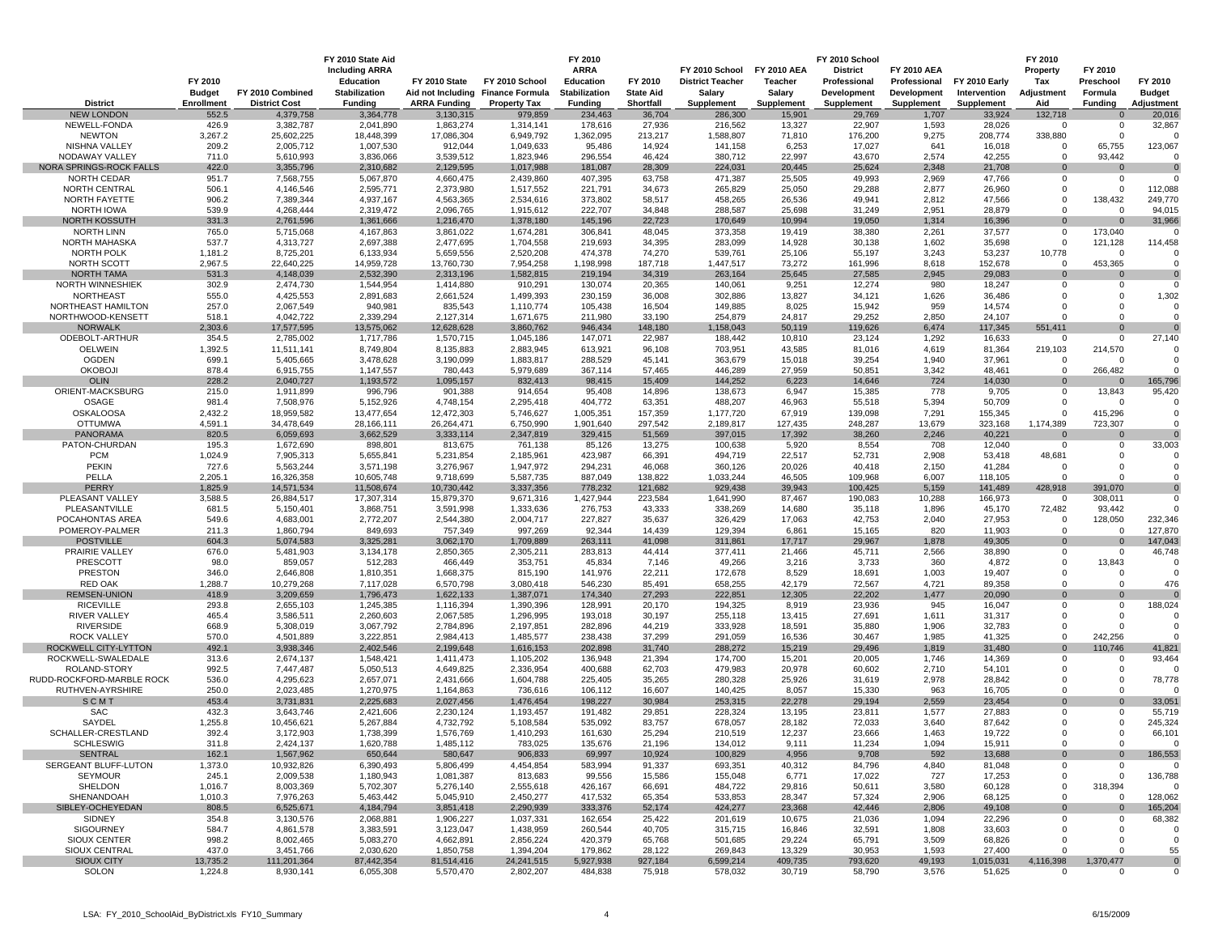|                                            |                            |                                   | FY 2010 State Aid<br><b>Including ARRA</b> |                                  |                                   | FY 2010<br><b>ARRA</b>    |                     | FY 2010 School          | <b>FY 2010 AEA</b>   | FY 2010 School<br><b>District</b> | <b>FY 2010 AEA</b>  |                      | FY 2010<br>Property            | FY 2010                    |                      |
|--------------------------------------------|----------------------------|-----------------------------------|--------------------------------------------|----------------------------------|-----------------------------------|---------------------------|---------------------|-------------------------|----------------------|-----------------------------------|---------------------|----------------------|--------------------------------|----------------------------|----------------------|
|                                            | FY 2010                    |                                   | Education                                  | FY 2010 State                    | FY 2010 School                    | Education                 | FY 2010             | <b>District Teacher</b> | Teacher              | Professional                      | Professional        | FY 2010 Early        | Tax                            | Preschool                  | FY 2010              |
|                                            | <b>Budget</b>              | FY 2010 Combined                  | <b>Stabilization</b>                       |                                  | Aid not Including Finance Formula | Stabilization             | <b>State Aid</b>    | Salary                  | Salary               | Development                       | Development         | Intervention         | Adjustment                     | Formula                    | <b>Budget</b>        |
| <b>District</b><br><b>NEW LONDON</b>       | <b>Enrollment</b><br>552.5 | <b>District Cost</b><br>4,379,758 | <b>Funding</b><br>3,364,778                | <b>ARRA Funding</b><br>3,130,315 | <b>Property Tax</b><br>979,859    | <b>Funding</b><br>234,463 | Shortfall<br>36,704 | Supplement<br>286,300   | Supplement<br>15,901 | Supplement<br>29,769              | Supplement<br>1,707 | Supplement<br>33,924 | Aid<br>132,718                 | <b>Funding</b><br>$\Omega$ | Adjustment<br>20,016 |
| NEWELL-FONDA                               | 426.9                      | 3,382,787                         | 2,041,890                                  | 1,863,274                        | 1,314,141                         | 178,616                   | 27,936              | 216,562                 | 13,327               | 22,907                            | 1,593               | 28,026               | $\overline{0}$                 | $\mathbf 0$                | 32,867               |
| <b>NEWTON</b>                              | 3,267.2                    | 25,602,225                        | 18,448,399                                 | 17,086,304                       | 6,949,792                         | 1,362,095                 | 213,217             | 1,588,807               | 71,810               | 176,200                           | 9,275               | 208,774              | 338,880                        | $\overline{0}$             |                      |
| NISHNA VALLEY                              | 209.2                      | 2,005,712                         | 1,007,530                                  | 912,044                          | 1,049,633                         | 95,486                    | 14,924              | 141,158                 | 6,253                | 17,027                            | 641                 | 16,018               | $\mathbf{0}$                   | 65,755                     | 123,067              |
| NODAWAY VALLEY<br>NORA SPRINGS-ROCK FALLS  | 711.0<br>422.0             | 5,610,993<br>3,355,796            | 3,836,066<br>2,310,682                     | 3,539,512<br>2,129,595           | 1,823,946<br>1,017,988            | 296,554<br>181,087        | 46,424<br>28,309    | 380,712<br>224,031      | 22,997<br>20,445     | 43,670<br>25,624                  | 2,574<br>2,348      | 42,255<br>21,708     | $\Omega$<br>$\mathbf 0$        | 93,442<br>$\mathbf 0$      |                      |
| NORTH CEDAR                                | 951.7                      | 7,568,755                         | 5,067,870                                  | 4,660,475                        | 2,439,860                         | 407,395                   | 63,758              | 471,387                 | 25,505               | 49,993                            | 2,969               | 47,766               | $\mathbf 0$                    | $^{\circ}$                 |                      |
| NORTH CENTRAL                              | 506.1                      | 4,146,546                         | 2,595,771                                  | 2,373,980                        | 1,517,552                         | 221,791                   | 34,673              | 265,829                 | 25,050               | 29,288                            | 2,877               | 26,960               | $\mathbf 0$                    | $\mathbf 0$                | 112,088              |
| NORTH FAYETTE                              | 906.2                      | 7,389,344                         | 4,937,167                                  | 4,563,365                        | 2,534,616                         | 373,802                   | 58,517              | 458,265                 | 26,536               | 49,941                            | 2,812               | 47,566               | $\mathbf 0$                    | 138,432                    | 249,770              |
| NORTH IOWA                                 | 539.9                      | 4,268,444                         | 2,319,472                                  | 2,096,765                        | 1,915,612                         | 222,707                   | 34,848              | 288,587                 | 25,698               | 31,249                            | 2,951               | 28,879               | $\Omega$                       | $\Omega$                   | 94,015               |
| NORTH KOSSUTH<br>NORTH LINN                | 331.3<br>765.0             | 2,761,596<br>5,715,068            | 1,361,666<br>4,167,863                     | 1,216,470<br>3,861,022           | 1,378,180<br>1,674,281            | 145,196<br>306,841        | 22,723<br>48,045    | 170,649<br>373,358      | 10,994<br>19,419     | 19,050<br>38,380                  | 1,314<br>2,261      | 16,396<br>37,577     | $\Omega$<br>$\mathbf{0}$       | $\mathbf 0$<br>173,040     | 31,966               |
| NORTH MAHASKA                              | 537.7                      | 4,313,727                         | 2,697,388                                  | 2,477,695                        | 1,704,558                         | 219,693                   | 34,395              | 283,099                 | 14,928               | 30,138                            | 1,602               | 35,698               | $\Omega$                       | 121,128                    | 114,458              |
| NORTH POLK                                 | 1,181.2                    | 8,725,201                         | 6,133,934                                  | 5,659,556                        | 2,520,208                         | 474,378                   | 74,270              | 539,761                 | 25,106               | 55,197                            | 3,243               | 53,237               | 10,778                         | $\overline{0}$             |                      |
| NORTH SCOTT                                | 2,967.5                    | 22,640,225                        | 14,959,728                                 | 13,760,730                       | 7,954,258                         | 1,198,998                 | 187,718             | 1,447,517               | 73,272               | 161,996                           | 8,618               | 152,678              | $\overline{0}$                 | 453,365                    |                      |
| <b>NORTH TAMA</b><br>NORTH WINNESHIEK      | 531.3<br>302.9             | 4,148,039<br>2,474,730            | 2.532.390<br>1,544,954                     | 2,313,196<br>1,414,880           | 1,582,815<br>910,291              | 219,194<br>130,074        | 34,319<br>20,365    | 263,164<br>140,061      | 25,645<br>9,251      | 27,585<br>12,274                  | 2.945<br>980        | 29.083<br>18,247     | $\Omega$<br>0                  | $\Omega$<br>- 0            |                      |
| <b>NORTHEAST</b>                           | 555.0                      | 4,425,553                         | 2,891,683                                  | 2,661,524                        | 1,499,393                         | 230,159                   | 36,008              | 302,886                 | 13,827               | 34,121                            | 1,626               | 36,486               | $\Omega$                       | $\Omega$                   | 1,302                |
| NORTHEAST HAMILTON                         | 257.0                      | 2,067,549                         | 940,981                                    | 835,543                          | 1,110,774                         | 105,438                   | 16,504              | 149,885                 | 8,025                | 15,942                            | 959                 | 14,574               | $\Omega$                       | $\overline{0}$             |                      |
| NORTHWOOD-KENSETT                          | 518.1                      | 4,042,722                         | 2,339,294                                  | 2,127,314                        | 1,671,675                         | 211,980                   | 33,190              | 254,879                 | 24,817               | 29,252                            | 2,850               | 24,107               | $\Omega$                       | $\Omega$                   |                      |
| <b>NORWALK</b>                             | 2,303.6                    | 17,577,595                        | 13,575,062                                 | 12,628,628                       | 3,860,762                         | 946,434                   | 148,180             | 1,158,043               | 50,119               | 119,626                           | 6,474               | 117,345              | 551,411                        | $\Omega$                   |                      |
| ODEBOLT-ARTHUR<br><b>OELWEIN</b>           | 354.5<br>1,392.5           | 2,785,002<br>11,511,141           | 1,717,786<br>8,749,804                     | 1,570,715<br>8,135,883           | 1,045,186<br>2,883,945            | 147,071<br>613,921        | 22,987<br>96,108    | 188,442<br>703,951      | 10,810<br>43,585     | 23,124<br>81,016                  | 1,292<br>4,619      | 16,633<br>81,364     | 0<br>219,103                   | $\mathbf 0$<br>214,570     | 27,140               |
| <b>OGDEN</b>                               | 699.1                      | 5,405,665                         | 3,478,628                                  | 3,190,099                        | 1,883,817                         | 288,529                   | 45,141              | 363,679                 | 15,018               | 39,254                            | 1,940               | 37,961               | $\Omega$                       | $\Omega$                   |                      |
| <b>OKOBOJI</b>                             | 878.4                      | 6,915,755                         | 1,147,557                                  | 780,443                          | 5,979,689                         | 367,114                   | 57,465              | 446,289                 | 27,959               | 50,851                            | 3,342               | 48,461               | $\Omega$                       | 266,482                    |                      |
| <b>OLIN</b>                                | 228.2                      | 2,040,727                         | 1,193,572                                  | 1,095,157                        | 832,413                           | 98,415                    | 15,409              | 144,252                 | 6,223                | 14,646                            | 724                 | 14,030               | $\mathbf{0}$                   | $\mathbf 0$                | 165,796              |
| ORIENT-MACKSBURG                           | 215.0                      | 1,911,899                         | 996,796                                    | 901,388                          | 914,654                           | 95,408                    | 14,896              | 138,673                 | 6,947                | 15,385                            | 778                 | 9,705                | $^{\circ}$                     | 13,843                     | 95,420               |
| OSAGE<br><b>OSKALOOSA</b>                  | 981.4<br>2,432.2           | 7,508,976<br>18,959,582           | 5,152,926<br>13,477,654                    | 4,748,154<br>12,472,303          | 2,295,418<br>5,746,627            | 404,772<br>1,005,351      | 63,351<br>157,359   | 488,207<br>1,177,720    | 46,963<br>67,919     | 55,518<br>139,098                 | 5,394<br>7,291      | 50,709<br>155,345    | $\mathbf 0$<br>$\mathbf 0$     | - 0<br>415,296             |                      |
| <b>OTTUMWA</b>                             | 4,591.1                    | 34,478,649                        | 28,166,111                                 | 26,264,471                       | 6,750,990                         | 1,901,640                 | 297,542             | 2,189,817               | 127,435              | 248,287                           | 13,679              | 323,168              | 1,174,389                      | 723,307                    |                      |
| <b>PANORAMA</b>                            | 820.5                      | 6,059,693                         | 3,662,529                                  | 3,333,114                        | 2,347,819                         | 329,415                   | 51,569              | 397,015                 | 17,392               | 38,260                            | 2,246               | 40,221               | $\mathbf 0$                    | $\mathbf 0$                |                      |
| PATON-CHURDAN                              | 195.3                      | 1,672,690                         | 898,801                                    | 813,675                          | 761,138                           | 85,126                    | 13,275              | 100,638                 | 5,920                | 8,554                             | 708                 | 12,040               | $\mathbf{0}$                   | $\mathbf 0$                | 33,003               |
| <b>PCM</b>                                 | 1,024.9                    | 7,905,313                         | 5,655,841                                  | 5,231,854                        | 2,185,961                         | 423,987                   | 66,391              | 494,719                 | 22,517               | 52,731                            | 2,908               | 53,418               | 48,681                         | $\Omega$                   |                      |
| <b>PEKIN</b><br>PELLA                      | 727.6<br>2,205.1           | 5,563,244<br>16,326,358           | 3,571,198<br>10,605,748                    | 3,276,967<br>9,718,699           | 1,947,972<br>5,587,735            | 294,231<br>887,049        | 46,068<br>138,822   | 360,126<br>1,033,244    | 20,026<br>46,505     | 40,418<br>109,968                 | 2,150<br>6,007      | 41,284<br>118,105    | $\Omega$<br>$\Omega$           | $\Omega$<br>$\Omega$       |                      |
| PERRY                                      | 1,825.9                    | 14,571,534                        | 11,508,674                                 | 10,730,442                       | 3,337,356                         | 778,232                   | 121,682             | 929,438                 | 39,943               | 100,425                           | 5,159               | 141,489              | 428,918                        | 391,070                    |                      |
| PLEASANT VALLEY                            | 3,588.5                    | 26,884,517                        | 17,307,314                                 | 15,879,370                       | 9,671,316                         | 1,427,944                 | 223,584             | 1,641,990               | 87,467               | 190,083                           | 10,288              | 166,973              | $\mathbf 0$                    | 308,011                    | $\mathbf 0$          |
| PLEASANTVILLE                              | 681.5                      | 5,150,401                         | 3,868,751                                  | 3,591,998                        | 1,333,636                         | 276,753                   | 43,333              | 338,269                 | 14,680               | 35,118                            | 1,896               | 45,170               | 72,482                         | 93,442                     |                      |
| POCAHONTAS AREA<br>POMEROY-PALMER          | 549.6<br>211.3             | 4,683,001<br>1,860,794            | 2,772,207<br>849,693                       | 2,544,380<br>757,349             | 2,004,717<br>997,269              | 227,827<br>92,344         | 35,637<br>14,439    | 326,429<br>129,394      | 17,063<br>6,861      | 42,753<br>15,165                  | 2,040<br>820        | 27,953<br>11,903     | $\mathbf{0}$<br>$\overline{0}$ | 128,050<br>$\Omega$        | 232,346<br>127,870   |
| <b>POSTVILLE</b>                           | 604.3                      | 5,074,583                         | 3,325,281                                  | 3,062,170                        | 1,709,889                         | 263,111                   | 41,098              | 311,861                 | 17,717               | 29,967                            | 1,878               | 49,305               | $\Omega$                       | $\Omega$                   | 147,043              |
| PRAIRIE VALLEY                             | 676.0                      | 5,481,903                         | 3,134,178                                  | 2,850,365                        | 2,305,211                         | 283,813                   | 44,414              | 377,411                 | 21,466               | 45,711                            | 2,566               | 38,890               | $\mathbf 0$                    | - 0                        | 46,748               |
| PRESCOTT                                   | 98.0                       | 859,057                           | 512,283                                    | 466,449                          | 353,751                           | 45,834                    | 7,146               | 49,266                  | 3,216                | 3,733                             | 360                 | 4,872                | $\Omega$                       | 13,843                     |                      |
| <b>PRESTON</b>                             | 346.0                      | 2,646,808                         | 1,810,351                                  | 1,668,375                        | 815,190                           | 141,976                   | 22,211              | 172,678                 | 8,529                | 18,691                            | 1,003               | 19,407               | $\Omega$                       | - 0                        |                      |
| <b>RED OAK</b><br><b>REMSEN-UNION</b>      | 1,288.7<br>418.9           | 10,279,268<br>3,209,659           | 7,117,028<br>1,796,473                     | 6,570,798<br>1,622,133           | 3,080,418<br>1,387,071            | 546,230<br>174,340        | 85,491<br>27,293    | 658,255<br>222,851      | 42,179<br>12,305     | 72,567<br>22,202                  | 4,721<br>1,477      | 89,358<br>20,090     | $\mathbf 0$<br>$\Omega$        | $\Omega$<br>$\Omega$       | 476                  |
| <b>RICEVILLE</b>                           | 293.8                      | 2,655,103                         | 1,245,385                                  | 1,116,394                        | 1,390,396                         | 128,991                   | 20,170              | 194,325                 | 8,919                | 23,936                            | 945                 | 16,047               | $\Omega$                       | $\overline{0}$             | 188,024              |
| <b>RIVER VALLEY</b>                        | 465.4                      | 3,586,511                         | 2,260,603                                  | 2,067,585                        | 1,296,995                         | 193,018                   | 30,197              | 255,118                 | 13,415               | 27,691                            | 1,611               | 31,317               | $\mathbf 0$                    | $\Omega$                   |                      |
| <b>RIVERSIDE</b>                           | 668.9                      | 5,308,019                         | 3,067,792                                  | 2,784,896                        | 2,197,851                         | 282,896                   | 44,219              | 333,928                 | 18,591               | 35,880                            | 1,906               | 32,783               | $\Omega$                       | $\Omega$                   |                      |
| <b>ROCK VALLEY</b>                         | 570.0<br>492.1             | 4,501,889<br>3,938,346            | 3,222,851                                  | 2,984,413                        | 1,485,577                         | 238,438                   | 37,299              | 291,059<br>288,272      | 16,536               | 30,467                            | 1,985<br>1,819      | 41,325               | $\Omega$<br>$\Omega$           | 242,256<br>110,746         |                      |
| ROCKWELL CITY-LYTTON<br>ROCKWELL-SWALEDALE | 313.6                      | 2,674,137                         | 2,402,546<br>1,548,421                     | 2,199,648<br>1,411,473           | 1,616,153<br>1,105,202            | 202,898<br>136,948        | 31,740<br>21,394    | 174,700                 | 15,219<br>15,201     | 29,496<br>20,005                  | 1,746               | 31,480<br>14,369     | $\Omega$                       | $^{\circ}$                 | 41,821<br>93,464     |
| ROLAND-STORY                               | 992.5                      | 7,447,487                         | 5,050,513                                  | 4,649,825                        | 2,336,954                         | 400,688                   | 62,703              | 479,983                 | 20,978               | 60,602                            | 2,710               | 54,101               | 0                              | $\overline{0}$             |                      |
| RUDD-ROCKFORD-MARBLE ROCK                  | 536.0                      | 4,295,623                         | 2,657,071                                  | 2,431,666                        | 1,604,788                         | 225,405                   | 35,265              | 280,328                 | 25,926               | 31,619                            | 2,978               | 28,842               | $\mathbf 0$                    | $\overline{0}$             | 78,778               |
| RUTHVEN-AYRSHIRE                           | 250.0                      | 2,023,485                         | 1,270,975                                  | 1,164,863                        | 736,616                           | 106,112                   | 16,607              | 140,425                 | 8,057                | 15,330                            | 963                 | 16,705               | $\Omega$                       | $\Omega$                   |                      |
| SCMT                                       | 453.4                      | 3,731,831                         | 2,225,683                                  | 2,027,456                        | 1,476,454                         | 198,227                   | 30,984              | 253,315                 | 22,278               | 29,194                            | 2,559               | 23,454               | $\mathbf 0$<br>$\mathbf 0$     | $\mathbf 0$<br>$^{\circ}$  | 33,051               |
| SAC<br>SAYDEL                              | 432.3<br>1,255.8           | 3,643,746<br>10,456,621           | 2,421,606<br>5,267,884                     | 2,230,124<br>4,732,792           | 1,193,457<br>5,108,584            | 191,482<br>535,092        | 29,851<br>83,757    | 228,324<br>678,057      | 13,195<br>28,182     | 23,811<br>72,033                  | 1,577<br>3,640      | 27,883<br>87,642     | $\Omega$                       | $\overline{0}$             | 55,719<br>245,324    |
| SCHALLER-CRESTLAND                         | 392.4                      | 3,172,903                         | 1,738,399                                  | 1,576,769                        | 1,410,293                         | 161,630                   | 25,294              | 210,519                 | 12,237               | 23,666                            | 1,463               | 19,722               | $\Omega$                       | $\mathbf 0$                | 66,101               |
| <b>SCHLESWIG</b>                           | 311.8                      | 2,424,137                         | 1,620,788                                  | 1,485,112                        | 783,025                           | 135,676                   | 21,196              | 134,012                 | 9,111                | 11,234                            | 1,094               | 15,911               | $^{\circ}$                     | $\mathbf 0$                |                      |
| <b>SENTRAL</b>                             | 162.1                      | 1,567,962                         | 650,644                                    | 580,647                          | 906,833                           | 69,997                    | 10,924              | 100,829                 | 4,956                | 9,708                             | 592                 | 13,688               | $\mathbf 0$                    | 0                          | 186,553              |
| SERGEANT BLUFF-LUTON<br><b>SEYMOUR</b>     | 1,373.0                    | 10,932,826                        | 6,390,493                                  | 5,806,499                        | 4,454,854                         | 583,994                   | 91,337              | 693,351                 | 40,312               | 84,796                            | 4,840               | 81,048               | $\mathbf 0$<br>$\mathbf 0$     | $\mathbf 0$                | O                    |
| SHELDON                                    | 245.1<br>1,016.7           | 2,009,538<br>8,003,369            | 1,180,943<br>5,702,307                     | 1,081,387<br>5,276,140           | 813,683<br>2,555,618              | 99,556<br>426,167         | 15,586<br>66,691    | 155,048<br>484,722      | 6,771<br>29,816      | 17,022<br>50,611                  | 727<br>3,580        | 17,253<br>60,128     | $\mathbf 0$                    | $\mathbf 0$<br>318,394     | 136,788<br>$\Omega$  |
| SHENANDOAH                                 | 1,010.3                    | 7,976,263                         | 5,463,442                                  | 5,045,910                        | 2,450,277                         | 417,532                   | 65,354              | 533,853                 | 28,347               | 57,324                            | 2,906               | 68,125               | $\mathbf 0$                    | $^{\circ}$                 | 128,062              |
| SIBLEY-OCHEYEDAN                           | 808.5                      | 6,525,671                         | 4,184,794                                  | 3,851,418                        | 2,290,939                         | 333,376                   | 52,174              | 424,277                 | 23,368               | 42,446                            | 2,806               | 49,108               | $\Omega$                       | $\Omega$                   | 165,204              |
| SIDNEY                                     | 354.8                      | 3,130,576                         | 2,068,881                                  | 1,906,227                        | 1,037,331                         | 162,654                   | 25,422              | 201,619                 | 10,675               | 21,036                            | 1,094               | 22,296               | 0                              | - 0                        | 68,382               |
| SIGOURNEY<br>SIOUX CENTER                  | 584.7<br>998.2             | 4,861,578<br>8,002,465            | 3,383,591<br>5,083,270                     | 3,123,047<br>4,662,891           | 1,438,959<br>2,856,224            | 260,544<br>420,379        | 40,705<br>65,768    | 315,715<br>501,685      | 16,846<br>29,224     | 32,591<br>65,791                  | 1,808<br>3,509      | 33,603<br>68,826     | 0<br>0                         | $\Omega$<br>- 0            | C                    |
| SIOUX CENTRAL                              | 437.0                      | 3,451,766                         | 2,030,620                                  | 1,850,758                        | 1,394,204                         | 179,862                   | 28,122              | 269,843                 | 13,329               | 30,953                            | 1,593               | 27,400               | $\mathbf 0$                    | $\overline{0}$             | 55                   |
| <b>SIOUX CITY</b>                          | 13,735.2                   | 111,201,364                       | 87,442,354                                 | 81,514,416                       | 24,241,515                        | 5,927,938                 | 927,184             | 6,599,214               | 409,735              | 793,620                           | 49,193              | 1,015,031            | 4,116,398                      | 1,370,477                  | $\mathbf{0}$         |
| SOLON                                      | 1,224.8                    | 8,930,141                         | 6,055,308                                  | 5,570,470                        | 2,802,207                         | 484,838                   | 75,918              | 578,032                 | 30,719               | 58,790                            | 3,576               | 51,625               | $\overline{0}$                 | $\mathbf 0$                | O                    |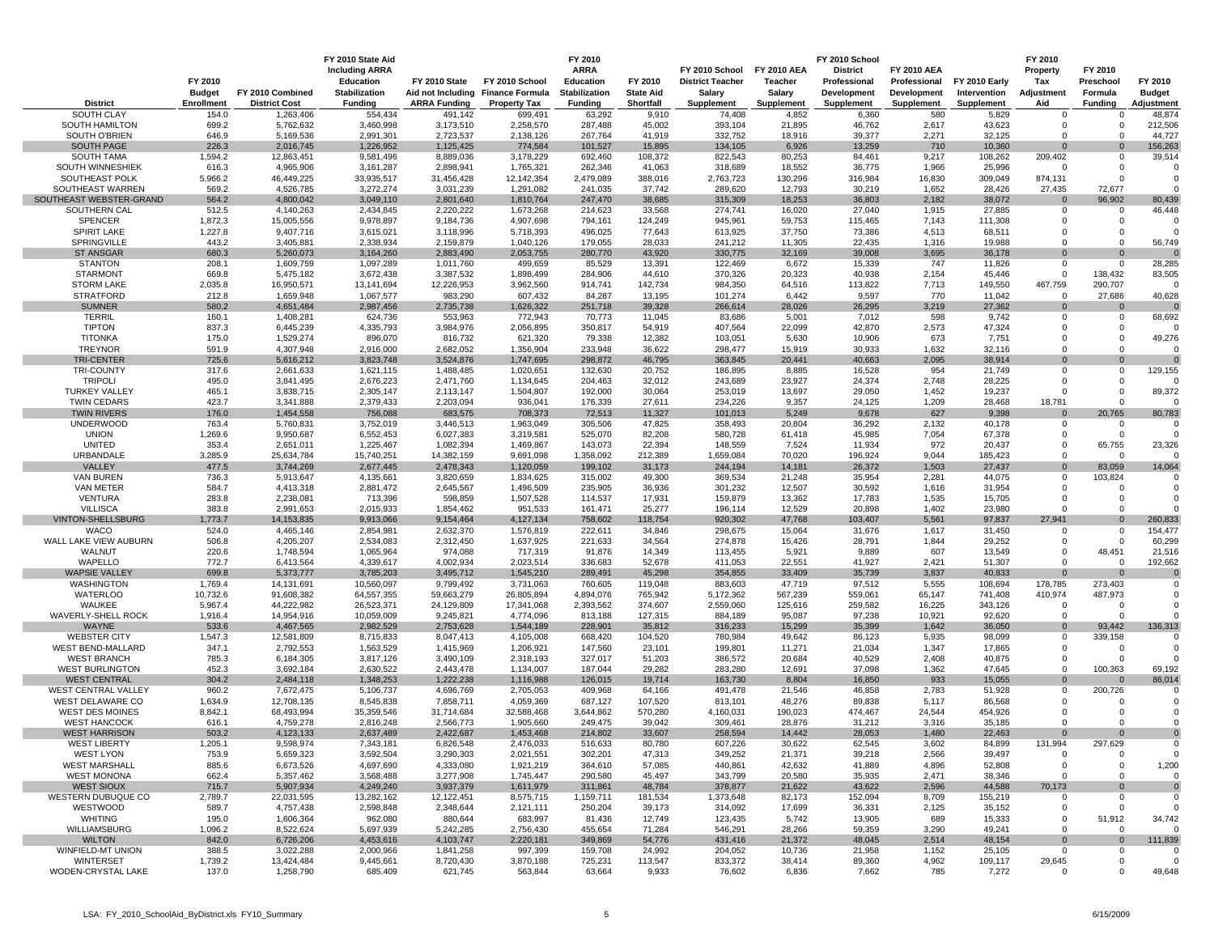|                                                | FY 2010<br><b>Budget</b> | FY 2010 Combined         | FY 2010 State Aid<br><b>Including ARRA</b><br><b>Education</b><br><b>Stabilization</b> | FY 2010 State           | FY 2010 School<br>Aid not Including Finance Formula | FY 2010<br><b>ARRA</b><br><b>Education</b><br><b>Stabilization</b> | FY 2010<br><b>State Aid</b> | FY 2010 School<br><b>District Teacher</b><br>Salary | <b>FY 2010 AEA</b><br><b>Teacher</b><br>Salary | FY 2010 School<br><b>District</b><br>Professional<br>Development | <b>FY 2010 AEA</b><br>Professional<br>Development | <b>FY 2010 Early</b><br>Intervention | FY 2010<br>Property<br>Tax<br>Adjustment | FY 2010<br>Preschool<br>Formula  | FY 2010<br><b>Budget</b> |
|------------------------------------------------|--------------------------|--------------------------|----------------------------------------------------------------------------------------|-------------------------|-----------------------------------------------------|--------------------------------------------------------------------|-----------------------------|-----------------------------------------------------|------------------------------------------------|------------------------------------------------------------------|---------------------------------------------------|--------------------------------------|------------------------------------------|----------------------------------|--------------------------|
| <b>District</b>                                | Enrollment               | <b>District Cost</b>     | <b>Funding</b>                                                                         | <b>ARRA Funding</b>     | <b>Property Tax</b>                                 | <b>Funding</b>                                                     | Shortfall                   | Supplement                                          | Supplement                                     | <b>Supplement</b>                                                | <b>Supplement</b>                                 | Supplement                           | Aid                                      | <b>Funding</b>                   | Adjustment               |
| <b>SOUTH CLAY</b>                              | 154.0                    | 1,263,406                | 554,434                                                                                | 491,142                 | 699,491                                             | 63,292                                                             | 9,910                       | 74,408                                              | 4,852                                          | 6,360                                                            | 580                                               | 5,829                                | 0                                        | 0                                | 48,874                   |
| <b>SOUTH HAMILTON</b>                          | 699.2                    | 5,762,632                | 3,460,998                                                                              | 3,173,510               | 2,258,570                                           | 287,488                                                            | 45,002                      | 393,104                                             | 21,895                                         | 46,762                                                           | 2,617                                             | 43,623                               | 0                                        | $\Omega$                         | 212,506                  |
| SOUTH O'BRIEN                                  | 646.9                    | 5,169,536                | 2,991,301                                                                              | 2,723,537               | 2,138,126                                           | 267,764                                                            | 41,919                      | 332,752                                             | 18,916                                         | 39,377                                                           | 2,271                                             | 32,125                               | $\Omega$                                 | $\Omega$                         | 44,727                   |
| <b>SOUTH PAGE</b>                              | 226.3                    | 2,016,745                | 1,226,952                                                                              | 1,125,425               | 774,584                                             | 101,527                                                            | 15,895                      | 134,105                                             | 6,926                                          | 13,259                                                           | 710                                               | 10,360                               | $\Omega$                                 |                                  | 156,263                  |
| <b>SOUTH TAMA</b>                              | 1,594.2                  | 12,863,451               | 9,581,496                                                                              | 8,889,036               | 3,178,229                                           | 692,460                                                            | 108,372                     | 822,543                                             | 80,253                                         | 84,461                                                           | 9,217                                             | 108,262                              | 209,402<br>$\Omega$                      | $\Omega$                         | 39,514                   |
| <b>SOUTH WINNESHIEK</b><br>SOUTHEAST POLK      | 616.3<br>5,966.2         | 4,965,906<br>46,449,225  | 3, 161, 287<br>33,935,517                                                              | 2,898,941<br>31,456,428 | 1,765,321<br>12,142,354                             | 262,346<br>2,479,089                                               | 41,063<br>388,016           | 318,689<br>2,763,723                                | 18,552<br>130,296                              | 36,775<br>316,984                                                | 1,966<br>16,830                                   | 25,996<br>309,049                    | 874,131                                  | $\overline{0}$<br>$\overline{0}$ |                          |
| SOUTHEAST WARREN                               | 569.2                    | 4,526,785                | 3,272,274                                                                              | 3,031,239               | 1,291,082                                           | 241,035                                                            | 37,742                      | 289,620                                             | 12,793                                         | 30,219                                                           | 1,652                                             | 28,426                               | 27,435                                   | 72,677                           |                          |
| SOUTHEAST WEBSTER-GRAND                        | 564.2                    | 4,800,042                | 3,049,110                                                                              | 2,801,640               | 1,810,764                                           | 247,470                                                            | 38,685                      | 315,309                                             | 18,253                                         | 36,803                                                           | 2,182                                             | 38,072                               | $\Omega$                                 | 96,902                           | 80,439                   |
| SOUTHERN CAL                                   | 512.5                    | 4,140,263                | 2,434,845                                                                              | 2,220,222               | 1,673,268                                           | 214,623                                                            | 33,568                      | 274,741                                             | 16,020                                         | 27,040                                                           | 1,915                                             | 27,885                               | 0                                        | $\mathbf 0$                      | 46,448                   |
| <b>SPENCER</b>                                 | 1,872.3                  | 15,005,556               | 9,978,897                                                                              | 9,184,736               | 4,907,698                                           | 794,161                                                            | 124,249                     | 945,961                                             | 59,753                                         | 115,465                                                          | 7,143                                             | 111,308                              | $\Omega$                                 | $\Omega$                         |                          |
| <b>SPIRIT LAKE</b>                             | 1,227.8                  | 9,407,716                | 3,615,021                                                                              | 3,118,996               | 5,718,393                                           | 496,025                                                            | 77,643                      | 613,925                                             | 37,750                                         | 73,386                                                           | 4,513                                             | 68,511                               | 0                                        | $\overline{0}$                   |                          |
| SPRINGVILLE<br><b>ST ANSGAR</b>                | 443.2<br>680.3           | 3,405,881<br>5,260,073   | 2,338,934<br>3,164,260                                                                 | 2,159,879<br>2,883,490  | 1,040,126                                           | 179,055                                                            | 28,033<br>43,920            | 241,212<br>330,775                                  | 11,305<br>32,169                               | 22,435<br>39,008                                                 | 1,316<br>3,695                                    | 19,988<br>36,178                     | $\Omega$<br>O                            | $\Omega$<br>$\mathbf 0$          | 56,749                   |
| <b>STANTON</b>                                 | 208.1                    | 1,609,759                | 1,097,289                                                                              | 1,011,760               | 2,053,755<br>499,659                                | 280,770<br>85,529                                                  | 13,391                      | 122,469                                             | 6,672                                          | 15,339                                                           | 747                                               | 11,826                               | 0                                        | $\mathbf 0$                      | 28,285                   |
| <b>STARMONT</b>                                | 669.8                    | 5,475,182                | 3,672,438                                                                              | 3,387,532               | 1,898,499                                           | 284,906                                                            | 44,610                      | 370,326                                             | 20,323                                         | 40,938                                                           | 2,154                                             | 45,446                               | $\mathbf 0$                              | 138,432                          | 83,505                   |
| <b>STORM LAKE</b>                              | 2,035.8                  | 16,950,571               | 13,141,694                                                                             | 12,226,953              | 3,962,560                                           | 914,741                                                            | 142,734                     | 984,350                                             | 64,516                                         | 113,822                                                          | 7,713                                             | 149,550                              | 467,759                                  | 290,707                          |                          |
| <b>STRATFORD</b>                               | 212.8                    | 1,659,948                | 1,067,577                                                                              | 983,290                 | 607,432                                             | 84,287                                                             | 13,195                      | 101,274                                             | 6,442                                          | 9,597                                                            | 770                                               | 11,042                               | $\Omega$                                 | 27,686                           | 40,628                   |
| <b>SUMNER</b>                                  | 580.2                    | 4,651,484                | 2,987,456                                                                              | 2,735,738               | 1,626,322                                           | 251,718                                                            | 39,328                      | 266,614                                             | 28,026                                         | 26,295                                                           | 3,219                                             | 27,362                               | $\Omega$                                 | $\overline{0}$                   |                          |
| <b>TERRIL</b>                                  | 160.1                    | 1,408,281                | 624,736                                                                                | 553,963                 | 772,943                                             | 70,773                                                             | 11,045                      | 83,686                                              | 5,001                                          | 7,012                                                            | 598                                               | 9,742                                | $\Omega$                                 | $\mathbf 0$                      | 68,692                   |
| <b>TIPTON</b>                                  | 837.3                    | 6,445,239                | 4,335,793                                                                              | 3,984,976               | 2,056,895                                           | 350,817                                                            | 54,919                      | 407,564                                             | 22,099                                         | 42,870                                                           | 2,573                                             | 47,324                               | 0                                        | $\overline{0}$                   |                          |
| <b>TITONKA</b><br><b>TREYNOR</b>               | 175.0<br>591.9           | 1,529,274<br>4,307,948   | 896,070<br>2,916,000                                                                   | 816,732<br>2,682,052    | 621,320<br>1,356,904                                | 79,338<br>233,948                                                  | 12,382<br>36,622            | 103,051<br>298,477                                  | 5,630<br>15,919                                | 10,906<br>30,933                                                 | 673<br>1,632                                      | 7,751<br>32,116                      | $\Omega$<br>0                            | $\overline{0}$<br>$\overline{0}$ | 49,276                   |
| <b>TRI-CENTER</b>                              | 725.6                    | 5,616,212                | 3,823,748                                                                              | 3,524,876               | 1,747,695                                           | 298,872                                                            | 46,795                      | 363,845                                             | 20,441                                         | 40,663                                                           | 2,095                                             | 38,914                               | $\mathbf 0$                              | $\overline{0}$                   |                          |
| <b>TRI-COUNTY</b>                              | 317.6                    | 2,661,633                | 1,621,115                                                                              | 1,488,485               | 1,020,651                                           | 132,630                                                            | 20,752                      | 186,895                                             | 8,885                                          | 16,528                                                           | 954                                               | 21,749                               | $\Omega$                                 | $^{\circ}$                       | 129,155                  |
| <b>TRIPOLI</b>                                 | 495.0                    | 3,841,495                | 2,676,223                                                                              | 2,471,760               | 1,134,645                                           | 204,463                                                            | 32,012                      | 243,689                                             | 23,927                                         | 24,374                                                           | 2,748                                             | 28,225                               | 0                                        | $\overline{0}$                   |                          |
| <b>TURKEY VALLEY</b>                           | 465.1                    | 3,838,715                | 2,305,147                                                                              | 2,113,147               | 1,504,807                                           | 192,000                                                            | 30,064                      | 253,019                                             | 13,697                                         | 29,050                                                           | 1,452                                             | 19,237                               | $\Omega$                                 | $\mathbf 0$                      | 89,372                   |
| <b>TWIN CEDARS</b>                             | 423.7                    | 3,341,888                | 2,379,433                                                                              | 2,203,094               | 936,041                                             | 176,339                                                            | 27,611                      | 234,226                                             | 9,357                                          | 24,125                                                           | 1,209                                             | 28,468                               | 18,781                                   | $\mathbf 0$                      |                          |
| <b>TWIN RIVERS</b>                             | 176.0                    | 1,454,558                | 756,088                                                                                | 683,575                 | 708,373                                             | 72,513                                                             | 11,327                      | 101,013                                             | 5,249                                          | 9,678                                                            | 627                                               | 9,398                                | O                                        | 20,765                           | 80,783                   |
| <b>UNDERWOOD</b><br><b>UNION</b>               | 763.4<br>1,269.6         | 5,760,831                | 3,752,019<br>6,552,453                                                                 | 3,446,513               | 1,963,049                                           | 305,506                                                            | 47,825<br>82,208            | 358,493<br>580,728                                  | 20,804<br>61,418                               | 36,292<br>45,985                                                 | 2,132<br>7,054                                    | 40,178<br>67,378                     | 0<br>$\Omega$                            | $\mathbf 0$<br>$\overline{0}$    |                          |
| <b>UNITED</b>                                  | 353.4                    | 9,950,687<br>2,651,011   | 1,225,467                                                                              | 6,027,383<br>1,082,394  | 3,319,581<br>1,469,867                              | 525,070<br>143,073                                                 | 22,394                      | 148,559                                             | 7,524                                          | 11,934                                                           | 972                                               | 20,437                               | 0                                        | 65,755                           | 23,326                   |
| URBANDALE                                      | 3,285.9                  | 25,634,784               | 15,740,251                                                                             | 14,382,159              | 9,691,098                                           | 1,358,092                                                          | 212,389                     | 1,659,084                                           | 70,020                                         | 196,924                                                          | 9,044                                             | 185,423                              | $\Omega$                                 | $\Omega$                         |                          |
| VALLEY                                         | 477.5                    | 3,744,269                | 2,677,445                                                                              | 2,478,343               | 1,120,059                                           | 199,102                                                            | 31,173                      | 244,194                                             | 14,181                                         | 26,372                                                           | 1,503                                             | 27,437                               | $\Omega$                                 | 83,059                           | 14,064                   |
| VAN BUREN                                      | 736.3                    | 5,913,647                | 4,135,661                                                                              | 3,820,659               | 1,834,625                                           | 315,002                                                            | 49,300                      | 369,534                                             | 21,248                                         | 35,954                                                           | 2,281                                             | 44,075                               | 0                                        | 103,824                          |                          |
| <b>VAN METER</b>                               | 584.7                    | 4,413,318                | 2,881,472                                                                              | 2,645,567               | 1,496,509                                           | 235,905                                                            | 36,936                      | 301,232                                             | 12,507                                         | 30,592                                                           | 1,616                                             | 31,954                               | $\Omega$                                 | $\Omega$                         |                          |
| VENTURA                                        | 283.8                    | 2,238,081                | 713,396                                                                                | 598,859                 | 1,507,528                                           | 114,537                                                            | 17,931                      | 159,879                                             | 13,362                                         | 17,783                                                           | 1,535                                             | 15,705                               | 0                                        | $\overline{0}$                   |                          |
| <b>VILLISCA</b><br>VINTON-SHELLSBURG           | 383.8                    | 2,991,653                | 2,015,933<br>9,913,066                                                                 | 1,854,462               | 951,533                                             | 161,471                                                            | 25,277                      | 196,114<br>920,302                                  | 12,529                                         | 20,898                                                           | 1,402                                             | 23,980                               | $\Omega$                                 | $\Omega$<br>$\Omega$             | 260,833                  |
| <b>WACO</b>                                    | 1,773.7<br>524.0         | 4,153,835<br>4,465,146   | 2,854,981                                                                              | 9,154,464<br>2,632,370  | 4,127,134<br>1,576,819                              | 758,602<br>222,611                                                 | 118,754<br>34,846           | 298,675                                             | 47,768<br>15,064                               | 103,407<br>31,676                                                | 5,561<br>1,617                                    | 97,837<br>31,450                     | 27,941<br>0                              | $\mathbf 0$                      | 154,477                  |
| WALL LAKE VIEW AUBURN                          | 506.8                    | 4,205,207                | 2,534,083                                                                              | 2,312,450               | 1,637,925                                           | 221,633                                                            | 34,564                      | 274,878                                             | 15,426                                         | 28,791                                                           | 1,844                                             | 29,252                               | 0                                        | $\overline{0}$                   | 60,299                   |
| WALNUT                                         | 220.6                    | 1,748,594                | 1,065,964                                                                              | 974,088                 | 717,319                                             | 91,876                                                             | 14,349                      | 113,455                                             | 5,921                                          | 9,889                                                            | 607                                               | 13,549                               | $\Omega$                                 | 48,451                           | 21,516                   |
| WAPELLO                                        | 772.7                    | 6,413,564                | 4,339,617                                                                              | 4,002,934               | 2,023,514                                           | 336,683                                                            | 52,678                      | 411,053                                             | 22,551                                         | 41,927                                                           | 2,421                                             | 51,307                               | 0                                        | $\Omega$                         | 192,662                  |
| <b>WAPSIE VALLEY</b>                           | 699.8                    | 5,373,777                | 3,785,203                                                                              | 3,495,712               | 1,545,210                                           | 289,491                                                            | 45,298                      | 354,855                                             | 33,409                                         | 35,739                                                           | 3,837                                             | 40,833                               | $\Omega$                                 | $\Omega$                         | $\mathbf 0$              |
| <b>WASHINGTON</b>                              | 1,769.4                  | 14,131,691               | 10,560,097                                                                             | 9,799,492               | 3,731,063                                           | 760,605                                                            | 119,048                     | 883,603                                             | 47,719                                         | 97,512                                                           | 5,555                                             | 108,694                              | 178,785                                  | 273,403                          | O                        |
| <b>WATERLOO</b>                                | 10,732.6                 | 91,608,382               | 64,557,355                                                                             | 59,663,279              | 26,805,894                                          | 4,894,076                                                          | 765,942                     | 5,172,362                                           | 567,239                                        | 559,061                                                          | 65,147                                            | 741,408                              | 410,974                                  | 487,973                          |                          |
| WAUKEE<br>WAVERLY-SHELL ROCK                   | 5,967.4<br>1,916.4       | 44,222,982<br>14,954,916 | 26,523,371<br>10,059,009                                                               | 24,129,809<br>9,245,821 | 17,341,068<br>4,774,096                             | 2,393,562<br>813,188                                               | 374,607<br>127,315          | 2,559,060<br>884,189                                | 125,616<br>95,087                              | 259,582<br>97,238                                                | 16,225<br>10,921                                  | 343,126<br>92,620                    | $\Omega$<br>0                            | $\mathbf 0$<br>$\overline{0}$    |                          |
| WAYNE                                          | 533.6                    | 4,467,565                | 2,982,529                                                                              | 2,753,628               | 1,544,189                                           | 228,901                                                            | 35,812                      | 316,233                                             | 15,299                                         | 35,399                                                           | 1,642                                             | 36,050                               | $\boldsymbol{0}$                         | 93,442                           | 136,313                  |
| <b>WEBSTER CITY</b>                            | 1,547.3                  | 12,581,809               | 8,715,833                                                                              | 8,047,413               | 4,105,008                                           | 668,420                                                            | 104,520                     | 780,984                                             | 49,642                                         | 86,123                                                           | 5,935                                             | 98,099                               | $\mathbf{0}$                             | 339,158                          |                          |
| WEST BEND-MALLARD                              | 347.1                    | 2,792,553                | 1,563,529                                                                              | 1,415,969               | 1,206,921                                           | 147,560                                                            | 23,101                      | 199,801                                             | 11,271                                         | 21,034                                                           | 1,347                                             | 17,865                               | 0                                        | $\overline{0}$                   |                          |
| <b>WEST BRANCH</b>                             | 785.3                    | 6,184,305                | 3,817,126                                                                              | 3,490,109               | 2,318,193                                           | 327,017                                                            | 51,203                      | 386,572                                             | 20,684                                         | 40,529                                                           | 2,408                                             | 40,875                               | $\mathbf 0$                              | $\Omega$                         |                          |
| <b>WEST BURLINGTON</b>                         | 452.3                    | 3,692,184                | 2,630,522                                                                              | 2,443,478               | 1,134,007                                           | 187,044                                                            | 29,282                      | 283,280                                             | 12,691                                         | 37,098                                                           | 1,362                                             | 47,645                               | $\Omega$                                 | 100,363                          | 69,192                   |
| <b>WEST CENTRAL</b>                            | 304.2                    | 2,484,118                | 1,348,253                                                                              | 1,222,238               | 1,116,988                                           | 126,015                                                            | 19,714                      | 163,730                                             | 8,804                                          | 16,850                                                           | 933                                               | 15,055                               | $\Omega$                                 |                                  | 86,014                   |
| WEST CENTRAL VALLEY<br><b>WEST DELAWARE CO</b> | 960.2                    | 7,672,475                | 5,106,737                                                                              | 4,696,769               | 2,705,053                                           | 409,968                                                            | 64,166                      | 491,478                                             | 21,546                                         | 46,858                                                           | 2,783                                             | 51,928                               | 0                                        | 200,726                          |                          |
| <b>WEST DES MOINES</b>                         | 1,634.9<br>8,842.1       | 12,708,135<br>68,493,994 | 8,545,838<br>35,359,546                                                                | 7,858,711<br>31,714,684 | 4,059,369<br>32,588,468                             | 687,127<br>3,644,862                                               | 107,520<br>570,280          | 813,101<br>4,160,031                                | 48,276<br>190,023                              | 89,838<br>474,467                                                | 5,117<br>24,544                                   | 86,568<br>454,926                    | 0<br>0                                   | $\Omega$<br>$\Omega$             |                          |
| <b>WEST HANCOCK</b>                            | 616.1                    | 4,759,278                | 2,816,248                                                                              | 2,566,773               | 1,905,660                                           | 249,475                                                            | 39,042                      | 309,461                                             | 28,876                                         | 31,212                                                           | 3,316                                             | 35,185                               | $\Omega$                                 | $\Omega$                         |                          |
| <b>WEST HARRISON</b>                           | 503.2                    | 4,123,133                | 2,637,489                                                                              | 2,422,687               | 1,453,468                                           | 214,802                                                            | 33,607                      | 258,594                                             | 14,442                                         | 28,053                                                           | 1,480                                             | 22,463                               | $\Omega$                                 | $\Omega$                         |                          |
| <b>WEST LIBERTY</b>                            | 1,205.1                  | 9,598,974                | 7,343,181                                                                              | 6,826,548               | 2,476,033                                           | 516,633                                                            | 80,780                      | 607,226                                             | 30,622                                         | 62,545                                                           | 3,602                                             | 84,899                               | 131,994                                  | 297,629                          |                          |
| <b>WEST LYON</b>                               | 753.9                    | 5,659,323                | 3,592,504                                                                              | 3,290,303               | 2,021,551                                           | 302,201                                                            | 47,313                      | 349,252                                             | 21,371                                         | 39,218                                                           | 2,566                                             | 39,497                               | $\Omega$                                 | - 0                              |                          |
| <b>WEST MARSHALL</b>                           | 885.6                    | 6,673,526                | 4,697,690                                                                              | 4,333,080               | 1,921,219                                           | 364,610                                                            | 57,085                      | 440,861                                             | 42,632                                         | 41,889                                                           | 4,896                                             | 52,808                               | 0                                        | $\overline{0}$                   | 1,200                    |
| <b>WEST MONONA</b>                             | 662.4                    | 5,357,462                | 3,568,488                                                                              | 3,277,908               | 1,745,447                                           | 290,580                                                            | 45,497                      | 343,799                                             | 20,580                                         | 35,935                                                           | 2,471                                             | 38,346                               | $\Omega$                                 | $\mathbf 0$                      | $\Omega$                 |
| <b>WEST SIOUX</b><br>WESTERN DUBUQUE CO        | 715.7                    | 5,907,934                | 4,249,240                                                                              | 3,937,379               | 1,611,979                                           | 311,861                                                            | 48,784                      | 378,877                                             | 21,622                                         | 43,622                                                           | 2,596                                             | 44,588                               | 70,173                                   | - 0                              |                          |
| WESTWOOD                                       | 2,789.7<br>589.7         | 22,031,595<br>4,757,438  | 13,282,162<br>2,598,848                                                                | 12,122,451<br>2,348,644 | 8,575,715<br>2,121,111                              | 1,159,711<br>250,204                                               | 181,534<br>39,173           | 1,373,648<br>314,092                                | 82,173<br>17,699                               | 152,094<br>36,331                                                | 8,709<br>2,125                                    | 155,219<br>35,152                    | 0<br>0                                   | $\mathbf 0$                      |                          |
| WHITING                                        | 195.0                    | 1,606,364                | 962,080                                                                                | 880,644                 | 683,997                                             | 81,436                                                             | 12,749                      | 123,435                                             | 5,742                                          | 13,905                                                           | 689                                               | 15,333                               | 0                                        | 51,912                           | 34,742                   |
| <b>WILLIAMSBURG</b>                            | 1,096.2                  | 8,522,624                | 5,697,939                                                                              | 5,242,285               | 2,756,430                                           | 455,654                                                            | 71,284                      | 546,291                                             | 28,266                                         | 59,359                                                           | 3,290                                             | 49,241                               | 0                                        | - 0                              |                          |
| <b>WILTON</b>                                  | 842.0                    | 6,726,206                | 4,453,616                                                                              | 4,103,747               | 2,220,181                                           | 349,869                                                            | 54,776                      | 431,416                                             | 21,372                                         | 48,045                                                           | 2,514                                             | 48,154                               | $\Omega$                                 | $\mathbf{0}$                     | 111,839                  |
| WINFIELD-MT UNION                              | 388.5                    | 3,022,288                | 2,000,966                                                                              | 1,841,258               | 997,399                                             | 159,708                                                            | 24,992                      | 204,052                                             | 10,736                                         | 21,958                                                           | 1,152                                             | 25,105                               | 0                                        | $^{\circ}$                       | C                        |
| WINTERSET                                      | 1,739.2                  | 13,424,484               | 9,445,661                                                                              | 8,720,430               | 3,870,188                                           | 725,231                                                            | 113,547                     | 833,372                                             | 38,414                                         | 89,360                                                           | 4,962                                             | 109,117                              | 29,645                                   | $\mathbf 0$                      | $\Omega$                 |
| WODEN-CRYSTAL LAKE                             | 137.0                    | 1,258,790                | 685,409                                                                                | 621,745                 | 563,844                                             | 63,664                                                             | 9,933                       | 76,602                                              | 6,836                                          | 7,662                                                            | 785                                               | 7,272                                | 0                                        | $\Omega$                         | 49,648                   |